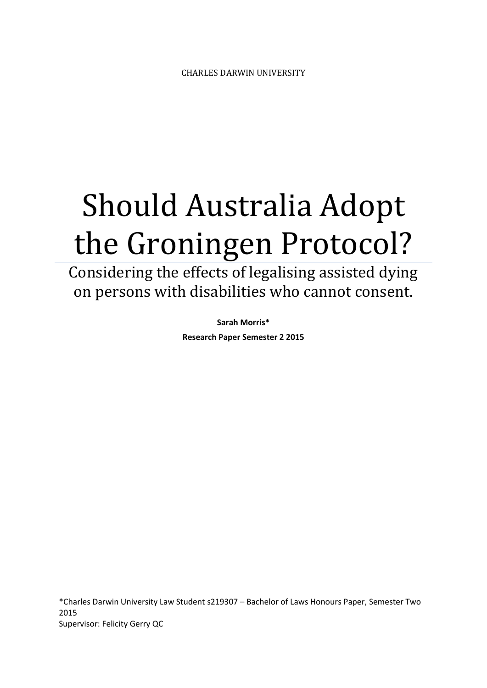# Should Australia Adopt the Groningen Protocol?

Considering the effects of legalising assisted dying on persons with disabilities who cannot consent.

> **Sarah Morris\* Research Paper Semester 2 2015**

\*Charles Darwin University Law Student s219307 – Bachelor of Laws Honours Paper, Semester Two 2015 Supervisor: Felicity Gerry QC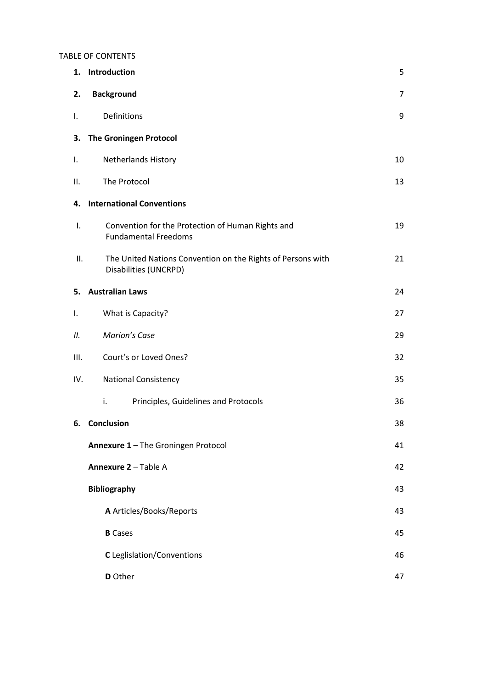#### TABLE OF CONTENTS

| 1.   | Introduction                                                                         | 5  |  |  |  |
|------|--------------------------------------------------------------------------------------|----|--|--|--|
| 2.   | <b>Background</b>                                                                    | 7  |  |  |  |
| Ι.   | Definitions                                                                          | 9  |  |  |  |
| З.   | <b>The Groningen Protocol</b>                                                        |    |  |  |  |
| Ι.   | <b>Netherlands History</b>                                                           | 10 |  |  |  |
| Ш.   | The Protocol                                                                         | 13 |  |  |  |
| 4.   | <b>International Conventions</b>                                                     |    |  |  |  |
| I.   | Convention for the Protection of Human Rights and<br><b>Fundamental Freedoms</b>     | 19 |  |  |  |
| Ш.   | The United Nations Convention on the Rights of Persons with<br>Disabilities (UNCRPD) | 21 |  |  |  |
| 5.   | <b>Australian Laws</b><br>24                                                         |    |  |  |  |
| I.   | What is Capacity?                                                                    | 27 |  |  |  |
| П.   | <b>Marion's Case</b>                                                                 | 29 |  |  |  |
| III. | Court's or Loved Ones?<br>32                                                         |    |  |  |  |
| IV.  | <b>National Consistency</b>                                                          | 35 |  |  |  |
|      | i.<br>Principles, Guidelines and Protocols                                           | 36 |  |  |  |
|      | 6. Conclusion<br>Annexure 1 - The Groningen Protocol                                 |    |  |  |  |
|      |                                                                                      |    |  |  |  |
|      | Annexure 2 - Table A                                                                 |    |  |  |  |
|      | <b>Bibliography</b>                                                                  | 43 |  |  |  |
|      | A Articles/Books/Reports                                                             | 43 |  |  |  |
|      | <b>B</b> Cases                                                                       | 45 |  |  |  |
|      | C Leglislation/Conventions                                                           | 46 |  |  |  |
|      | D Other                                                                              | 47 |  |  |  |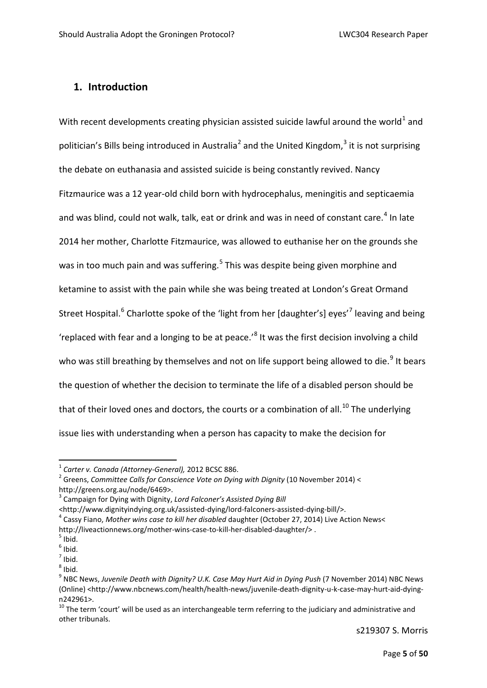#### **1. Introduction**

With recent developments creating physician assisted suicide lawful around the world<sup>[1](#page-2-0)</sup> and politician's Bills being introduced in Australia<sup>[2](#page-2-1)</sup> and the United Kingdom,<sup>[3](#page-2-2)</sup> it is not surprising the debate on euthanasia and assisted suicide is being constantly revived. Nancy Fitzmaurice was a 12 year-old child born with hydrocephalus, meningitis and septicaemia and was blind, could not walk, talk, eat or drink and was in need of constant care.<sup>[4](#page-2-3)</sup> In late 2014 her mother, Charlotte Fitzmaurice, was allowed to euthanise her on the grounds she was in too much pain and was suffering.<sup>[5](#page-2-4)</sup> This was despite being given morphine and ketamine to assist with the pain while she was being treated at London's Great Ormand Street Hospital.<sup>[6](#page-2-5)</sup> Charlotte spoke of the 'light from her [daughter's] eyes'<sup>[7](#page-2-6)</sup> leaving and being 'replaced with fear and a longing to be at peace.'[8](#page-2-7) It was the first decision involving a child who was still breathing by themselves and not on life support being allowed to die.<sup>[9](#page-2-8)</sup> It bears the question of whether the decision to terminate the life of a disabled person should be that of their loved ones and doctors, the courts or a combination of all.<sup>[10](#page-2-9)</sup> The underlying issue lies with understanding when a person has capacity to make the decision for

<span id="page-2-1"></span><span id="page-2-0"></span><sup>&</sup>lt;sup>1</sup> Carter v. Canada (Attorney-General), 2012 BCSC 886.<br><sup>2</sup> Greens, Committee Calls for Conscience Vote on Dying with Dignity (10 November 2014) < [http://greens.org.au/node/6469>](http://greens.org.au/node/6469).<br><sup>[3](http://greens.org.au/node/6469)</sup> Campaign for Dying with Dignity, *Lord Falconer's Assisted Dying Bill* 

<span id="page-2-3"></span><span id="page-2-2"></span><sup>&</sup>lt;http://www.dignityindying.org.uk/assisted-dying/lord-falconers-assisted-dying-bill/>. 4 Cassy Fiano, *Mother wins case to kill her disabled* daughter (October 27, 2014) Live Action News< http://liveactionnews.org/mother-wins-case-to-kill-her-disabled-daughter/>.<br><sup>5</sup> Ibid.

<span id="page-2-5"></span><span id="page-2-4"></span> $<sup>6</sup>$  Ibid.</sup>

 $<sup>7</sup>$  Ibid.</sup>

<span id="page-2-7"></span><span id="page-2-6"></span> $8$  Ibid.

<span id="page-2-8"></span><sup>9</sup> NBC News, *Juvenile Death with Dignity? U.K. Case May Hurt Aid in Dying Push* (7 November 2014) NBC News (Online) [<http://www.nbcnews.com/health/health-news/juvenile-death-dignity-u-k-case-may-hurt-aid-dying-](http://www.nbcnews.com/health/health-news/juvenile-death-dignity-u-k-case-may-hurt-aid-dying-n242961)

<span id="page-2-9"></span>[n242961>](http://www.nbcnews.com/health/health-news/juvenile-death-dignity-u-k-case-may-hurt-aid-dying-n242961).<br><sup>[10](http://www.nbcnews.com/health/health-news/juvenile-death-dignity-u-k-case-may-hurt-aid-dying-n242961)</sup> The term 'court' will be used as an interchangeable term referring to the judiciary and administrative and other tribunals.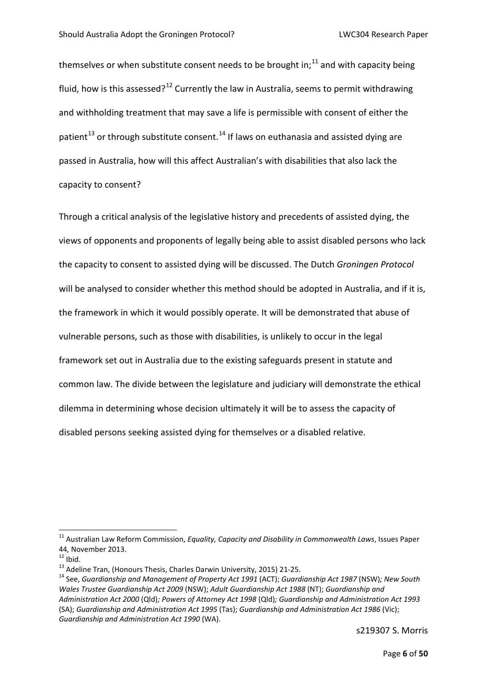themselves or when substitute consent needs to be brought in; $^{11}$  $^{11}$  $^{11}$  and with capacity being fluid, how is this assessed?<sup>[12](#page-3-1)</sup> Currently the law in Australia, seems to permit withdrawing and withholding treatment that may save a life is permissible with consent of either the patient<sup>[13](#page-3-2)</sup> or through substitute consent.<sup>[14](#page-3-3)</sup> If laws on euthanasia and assisted dying are passed in Australia, how will this affect Australian's with disabilities that also lack the capacity to consent?

Through a critical analysis of the legislative history and precedents of assisted dying, the views of opponents and proponents of legally being able to assist disabled persons who lack the capacity to consent to assisted dying will be discussed. The Dutch *Groningen Protocol* will be analysed to consider whether this method should be adopted in Australia, and if it is, the framework in which it would possibly operate. It will be demonstrated that abuse of vulnerable persons, such as those with disabilities, is unlikely to occur in the legal framework set out in Australia due to the existing safeguards present in statute and common law. The divide between the legislature and judiciary will demonstrate the ethical dilemma in determining whose decision ultimately it will be to assess the capacity of disabled persons seeking assisted dying for themselves or a disabled relative.

<span id="page-3-0"></span> <sup>11</sup> Australian Law Reform Commission, *Equality, Capacity and Disability in Commonwealth Laws*, Issues Paper 44, November 2013.<br><sup>12</sup> Ihid.

<span id="page-3-3"></span><span id="page-3-2"></span><span id="page-3-1"></span><sup>&</sup>lt;sup>13</sup> Adeline Tran, (Honours Thesis, Charles Darwin University, 2015) 21-25.<br><sup>14</sup> See, *Guardianship and Management of Property Act 1991* (ACT); *Guardianship Act 1987* (NSW); New South *Wales Trustee Guardianship Act 2009* (NSW); *Adult Guardianship Act 1988* (NT); *Guardianship and Administration Act 2000* (Qld)*; Powers of Attorney Act 1998* (Qld)*; Guardianship and Administration Act 1993*  (SA); *Guardianship and Administration Act 1995* (Tas); *Guardianship and Administration Act 1986* (Vic); *Guardianship and Administration Act 1990* (WA).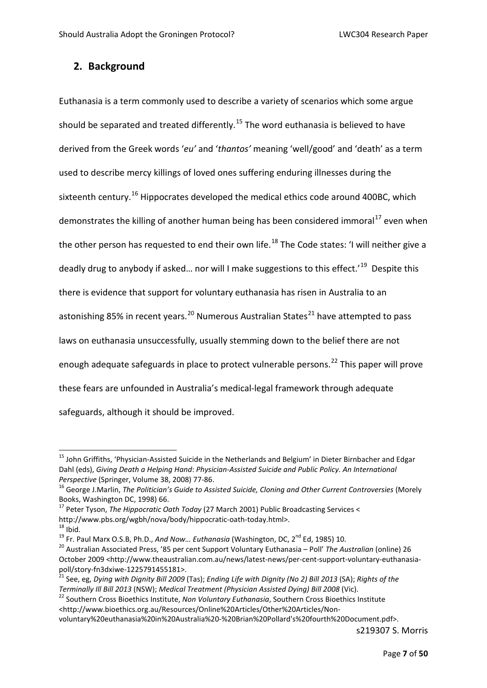#### **2. Background**

Euthanasia is a term commonly used to describe a variety of scenarios which some argue should be separated and treated differently.<sup>[15](#page-4-0)</sup> The word euthanasia is believed to have derived from the Greek words '*eu'* and '*thantos'* meaning 'well/good' and 'death' as a term used to describe mercy killings of loved ones suffering enduring illnesses during the sixteenth century.<sup>[16](#page-4-1)</sup> Hippocrates developed the medical ethics code around 400BC, which demonstrates the killing of another human being has been considered immoral<sup>[17](#page-4-2)</sup> even when the other person has requested to end their own life.<sup>[18](#page-4-3)</sup> The Code states: 'I will neither give a deadly drug to anybody if asked... nor will I make suggestions to this effect.<sup>'19</sup> Despite this there is evidence that support for voluntary euthanasia has risen in Australia to an astonishing 85% in recent years.<sup>[20](#page-4-5)</sup> Numerous Australian States<sup>[21](#page-4-6)</sup> have attempted to pass laws on euthanasia unsuccessfully, usually stemming down to the belief there are not enough adequate safeguards in place to protect vulnerable persons.<sup>[22](#page-4-7)</sup> This paper will prove these fears are unfounded in Australia's medical-legal framework through adequate safeguards, although it should be improved.

<span id="page-4-5"></span><span id="page-4-4"></span>

<span id="page-4-0"></span><sup>&</sup>lt;sup>15</sup> John Griffiths, 'Physician-Assisted Suicide in the Netherlands and Belgium' in Dieter Birnbacher and Edgar Dahl (eds), *Giving Death a Helping Hand*: *Physician-Assisted Suicide and Public Policy. An International* 

<span id="page-4-1"></span>*Perspective* (Springer, Volume 38, 2008) 77-86.<br><sup>16</sup> George J.Marlin, *The Politician's Guide to Assisted Suicide, Cloning and Other Current Controversies* (Morely Books, Washington DC, 1998) 66.

<span id="page-4-2"></span><sup>&</sup>lt;sup>17</sup> Peter Tyson, *The Hippocratic Oath Today* (27 March 2001) Public Broadcasting Services <

<span id="page-4-3"></span>[http://www.pbs.org/wgbh/nova/body/hippocratic-oath-today.html>](http://www.pbs.org/wgbh/nova/body/hippocratic-oath-today.html).<br><sup>[18](http://www.pbs.org/wgbh/nova/body/hippocratic-oath-today.html)</sup> Ibid.<br><sup>19</sup> Fr. Paul Marx O.S.B, Ph.D., *And Now... Euthanasia* (Washington, DC, 2<sup>nd</sup> Ed, 1985) 10.<br><sup>20</sup> Australian Associated Press, '85 per cent Suppor October 2009 [<http://www.theaustralian.com.au/news/latest-news/per-cent-support-voluntary-euthanasia](http://www.theaustralian.com.au/news/latest-news/per-cent-support-voluntary-euthanasia-poll/story-fn3dxiwe-1225791455181)[poll/story-fn3dxiwe-1225791455181>](http://www.theaustralian.com.au/news/latest-news/per-cent-support-voluntary-euthanasia-poll/story-fn3dxiwe-1225791455181).<br><sup>[21](http://www.theaustralian.com.au/news/latest-news/per-cent-support-voluntary-euthanasia-poll/story-fn3dxiwe-1225791455181)</sup> See, eg, *Dying with Dignity Bill 2009* (Tas); *Ending Life with Dignity (No 2) Bill 2013* (SA); *Rights of the* 

<span id="page-4-7"></span><span id="page-4-6"></span>*Terminally Ill Bill 2013* (NSW); *Medical Treatment (Physician Assisted Dying) Bill 2008* (Vic).<br><sup>22</sup> Southern Cross Bioethics Institute, *Non Voluntary Euthanasia*, Southern Cross Bioethics Institute <http://www.bioethics.org.au/Resources/Online%20Articles/Other%20Articles/Non-

voluntary%20euthanasia%20in%20Australia%20-%20Brian%20Pollard's%20fourth%20Document.pdf>.

s219307 S. Morris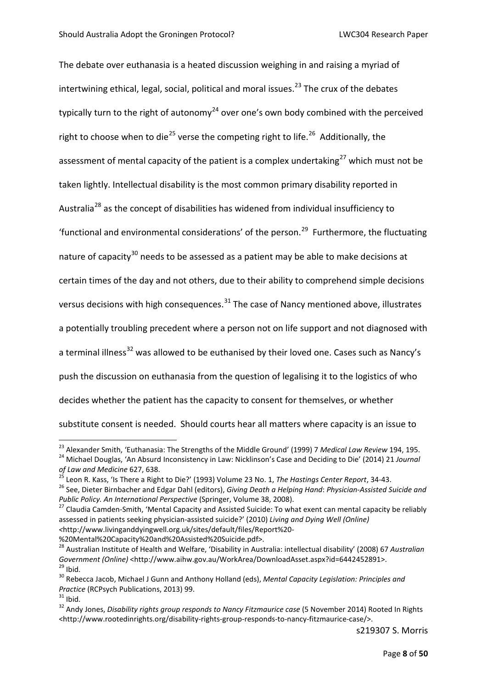The debate over euthanasia is a heated discussion weighing in and raising a myriad of intertwining ethical, legal, social, political and moral issues.<sup>[23](#page-5-0)</sup> The crux of the debates typically turn to the right of autonomy<sup>[24](#page-5-1)</sup> over one's own body combined with the perceived right to choose when to die<sup>[25](#page-5-2)</sup> verse the competing right to life.<sup>26</sup> Additionally, the assessment of mental capacity of the patient is a complex undertaking<sup>[27](#page-5-4)</sup> which must not be taken lightly. Intellectual disability is the most common primary disability reported in Australia<sup>[28](#page-5-5)</sup> as the concept of disabilities has widened from individual insufficiency to 'functional and environmental considerations' of the person.<sup>29</sup> Furthermore, the fluctuating nature of capacity<sup>[30](#page-5-7)</sup> needs to be assessed as a patient may be able to make decisions at certain times of the day and not others, due to their ability to comprehend simple decisions versus decisions with high consequences. $31$  The case of Nancy mentioned above, illustrates a potentially troubling precedent where a person not on life support and not diagnosed with a terminal illness<sup>[32](#page-5-9)</sup> was allowed to be euthanised by their loved one. Cases such as Nancy's push the discussion on euthanasia from the question of legalising it to the logistics of who decides whether the patient has the capacity to consent for themselves, or whether substitute consent is needed. Should courts hear all matters where capacity is an issue to

%20Mental%20Capacity%20and%20Assisted%20Suicide.pdf>.

<span id="page-5-0"></span><sup>&</sup>lt;sup>23</sup> Alexander Smith, 'Euthanasia: The Strengths of the Middle Ground' (1999) 7 Medical Law Review 194, 195.<br><sup>24</sup> Michael Douglas, 'An Absurd Inconsistency in Law: Nicklinson's Case and Deciding to Die' (2014) 21 Journal

<span id="page-5-2"></span><span id="page-5-1"></span>of Law and Medicine 627, 638.<br><sup>25</sup> Leon R. Kass, 'Is There a Right to Die?' (1993) Volume 23 No. 1, The Hastings Center Report, 34-43.<br><sup>26</sup> See, Dieter Birnbacher and Edgar Dahl (editors), *Giving Death a Helping Hand: Phy* 

<span id="page-5-4"></span><span id="page-5-3"></span>*Public Policy. An International Perspective* (Springer, Volume 38, 2008).<br><sup>27</sup> Claudia Camden-Smith, 'Mental Capacity and Assisted Suicide: To what exent can mental capacity be reliably assessed in patients seeking physician-assisted suicide?' (2010) *Living and Dying Well (Online) <*http://www.livinganddyingwell.org.uk/sites/default/files/Report%20-

<span id="page-5-5"></span><sup>&</sup>lt;sup>28</sup> Australian Institute of Health and Welfare, 'Disability in Australia: intellectual disability' (2008) 67 *Australian*<br>Government (Online) <http://www.aihw.gov.au/WorkArea/DownloadAsset.aspx?id=6442452891>. <sup>29</sup> Ibid.<br><sup>30</sup> Rebecca Jacob, Michael J Gunn and Anthony Holland (eds), *Mental Capacity Legislation: Principles and* 

<span id="page-5-7"></span><span id="page-5-6"></span>

<span id="page-5-9"></span>

<span id="page-5-8"></span>*Practice* (RCPsych Publications, 2013) 99.<br><sup>31</sup> Ibid.<br><sup>32</sup> Andy Jones, *Disability rights group responds to Nancy Fitzmaurice case* (5 November 2014) Rooted In Rights [<http://www.rootedinrights.org/disability-rights-group-responds-to-nancy-fitzmaurice-case/>](http://www.rootedinrights.org/disability-rights-group-responds-to-nancy-fitzmaurice-case/).

s219307 S. Morris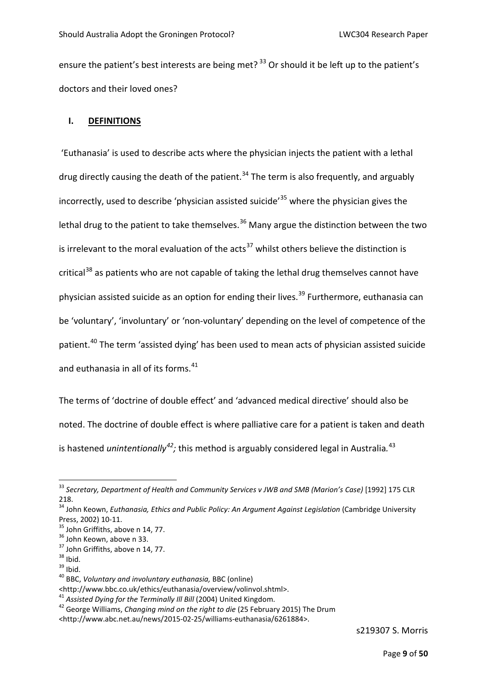ensure the patient's best interests are being met?<sup>[33](#page-6-0)</sup> Or should it be left up to the patient's doctors and their loved ones?

#### **I. DEFINITIONS**

'Euthanasia' is used to describe acts where the physician injects the patient with a lethal drug directly causing the death of the patient.<sup>[34](#page-6-1)</sup> The term is also frequently, and arguably incorrectly, used to describe 'physician assisted suicide'<sup>[35](#page-6-2)</sup> where the physician gives the lethal drug to the patient to take themselves.<sup>[36](#page-6-3)</sup> Many argue the distinction between the two is irrelevant to the moral evaluation of the acts<sup>[37](#page-6-4)</sup> whilst others believe the distinction is critical<sup>[38](#page-6-5)</sup> as patients who are not capable of taking the lethal drug themselves cannot have physician assisted suicide as an option for ending their lives.<sup>[39](#page-6-6)</sup> Furthermore, euthanasia can be 'voluntary', 'involuntary' or 'non-voluntary' depending on the level of competence of the patient.<sup>[40](#page-6-7)</sup> The term 'assisted dying' has been used to mean acts of physician assisted suicide and euthanasia in all of its forms.<sup>[41](#page-6-8)</sup>

The terms of 'doctrine of double effect' and 'advanced medical directive' should also be noted. The doctrine of double effect is where palliative care for a patient is taken and death is hastened *unintentionally*<sup>[42](#page-6-9)</sup>; this method is arguably considered legal in Australia.<sup>[43](#page-6-10)</sup>

<span id="page-6-0"></span> <sup>33</sup> *Secretary, Department of Health and Community Services v JWB and SMB (Marion's Case)* [1992] 175 CLR 218.

<span id="page-6-10"></span><span id="page-6-1"></span><sup>34</sup> John Keown, *Euthanasia, Ethics and Public Policy: An Argument Against Legislation* (Cambridge University Press, 2002) 10-11.<br><sup>35</sup> John Griffiths, above n 14, 77.<br><sup>36</sup> John Keown, above n 33.<br><sup>37</sup> John Griffiths, above n 14, 77.<br><sup>38</sup> Ibid.<br><sup>39</sup> Ibid. <sup>40</sup> BBC, *Voluntary and involuntary euthanasia,* BBC (online)

<span id="page-6-2"></span>

<span id="page-6-3"></span>

<span id="page-6-4"></span>

<span id="page-6-5"></span>

<span id="page-6-6"></span>

<span id="page-6-7"></span><sup>&</sup>lt;http://www.bbc.co.uk/ethics/euthanasia/overview/volinvol.shtml>.<br><sup>41</sup> Assisted Dying for the Terminally III Bill (2004) United Kingdom.

<span id="page-6-9"></span><span id="page-6-8"></span><sup>41</sup> *Assisted Dying for the Terminally Ill Bill* (2004) United Kingdom. 42 George Williams, *Changing mind on the right to die* (25 February 2015) The Drum [<http://www.abc.net.au/news/2015-02-25/williams-euthanasia/6261884>](http://www.abc.net.au/news/2015-02-25/williams-euthanasia/6261884).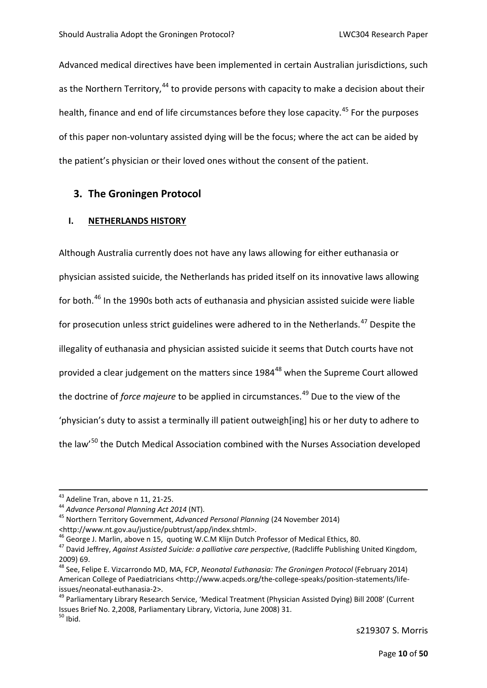Advanced medical directives have been implemented in certain Australian jurisdictions, such as the Northern Territory.<sup>[44](#page-7-0)</sup> to provide persons with capacity to make a decision about their health, finance and end of life circumstances before they lose capacity.<sup>[45](#page-7-1)</sup> For the purposes of this paper non-voluntary assisted dying will be the focus; where the act can be aided by the patient's physician or their loved ones without the consent of the patient.

#### **3. The Groningen Protocol**

#### **I. NETHERLANDS HISTORY**

Although Australia currently does not have any laws allowing for either euthanasia or physician assisted suicide, the Netherlands has prided itself on its innovative laws allowing for both.<sup>[46](#page-7-2)</sup> In the 1990s both acts of euthanasia and physician assisted suicide were liable for prosecution unless strict guidelines were adhered to in the Netherlands.<sup>[47](#page-7-3)</sup> Despite the illegality of euthanasia and physician assisted suicide it seems that Dutch courts have not provided a clear judgement on the matters since 1984<sup>[48](#page-7-4)</sup> when the Supreme Court allowed the doctrine of *force majeure* to be applied in circumstances.[49](#page-7-5) Due to the view of the 'physician's duty to assist a terminally ill patient outweigh[ing] his or her duty to adhere to the law<sup>'[50](#page-7-6)</sup> the Dutch Medical Association combined with the Nurses Association developed

<span id="page-7-0"></span>

<sup>43</sup> Adeline Tran, above n 11, 21-25. 44 *Advance Personal Planning Act 2014* (NT). 45 Northern Territory Government, *Advanced Personal Planning* (24 November 2014)

<span id="page-7-1"></span><sup>&</sup>lt;http://www.nt.gov.au/justice/pubtrust/app/index.shtml>.<br><sup>46</sup> George J. Marlin, above n 15, quoting W.C.M Klijn Dutch Professor of Medical Ethics, 80.

<span id="page-7-3"></span><span id="page-7-2"></span><sup>&</sup>lt;sup>47</sup> David Jeffrey, Against Assisted Suicide: a palliative care perspective, (Radcliffe Publishing United Kingdom, 2009) 69.

<span id="page-7-4"></span><sup>48</sup> See, Felipe E. Vizcarrondo MD, MA, FCP, *Neonatal Euthanasia: The Groningen Protocol* (February 2014) American College of Paediatricians [<http://www.acpeds.org/the-college-speaks/position-statements/life-](http://www.acpeds.org/the-college-speaks/position-statements/life-issues/neonatal-euthanasia-2)

<span id="page-7-6"></span><span id="page-7-5"></span>[issues/neonatal-euthanasia-2>](http://www.acpeds.org/the-college-speaks/position-statements/life-issues/neonatal-euthanasia-2).<br><sup>[49](http://www.acpeds.org/the-college-speaks/position-statements/life-issues/neonatal-euthanasia-2)</sup> Parliamentary Library Research Service, 'Medical Treatment (Physician Assisted Dying) Bill 2008' (Current Issues Brief No. 2,2008, Parliamentary Library, Victoria, June 2008) 31.  $^{50}$  Ihid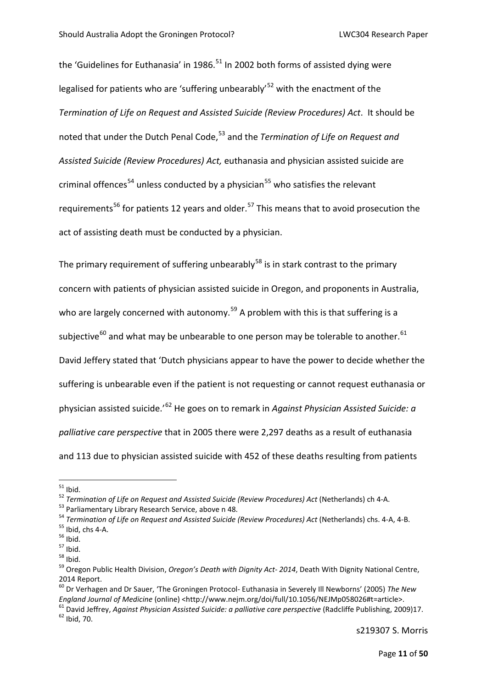the 'Guidelines for Euthanasia' in 1986.<sup>[51](#page-8-0)</sup> In 2002 both forms of assisted dying were legalised for patients who are 'suffering unbearably'[52](#page-8-1) with the enactment of the *Termination of Life on Request and Assisted Suicide (Review Procedures) Act*. It should be noted that under the Dutch Penal Code,[53](#page-8-2) and the *Termination of Life on Request and Assisted Suicide (Review Procedures) Act,* euthanasia and physician assisted suicide are criminal offences<sup>[54](#page-8-3)</sup> unless conducted by a physician<sup>[55](#page-8-4)</sup> who satisfies the relevant requirements<sup>[56](#page-8-5)</sup> for patients 12 years and older.<sup>[57](#page-8-6)</sup> This means that to avoid prosecution the act of assisting death must be conducted by a physician.

The primary requirement of suffering unbearably<sup>[58](#page-8-7)</sup> is in stark contrast to the primary concern with patients of physician assisted suicide in Oregon, and proponents in Australia, who are largely concerned with autonomy.<sup>[59](#page-8-8)</sup> A problem with this is that suffering is a subjective<sup>[60](#page-8-9)</sup> and what may be unbearable to one person may be tolerable to another.<sup>[61](#page-8-10)</sup> David Jeffery stated that 'Dutch physicians appear to have the power to decide whether the suffering is unbearable even if the patient is not requesting or cannot request euthanasia or physician assisted suicide.'[62](#page-8-11) He goes on to remark in *Against Physician Assisted Suicide: a palliative care perspective* that in 2005 there were 2,297 deaths as a result of euthanasia and 113 due to physician assisted suicide with 452 of these deaths resulting from patients

<span id="page-8-1"></span>

<span id="page-8-2"></span>

<span id="page-8-3"></span>

<span id="page-8-6"></span><span id="page-8-5"></span><span id="page-8-4"></span>

<span id="page-8-8"></span><span id="page-8-7"></span>

<span id="page-8-0"></span><sup>&</sup>lt;sup>51</sup> Ibid.<br><sup>52</sup> Termination of Life on Request and Assisted Suicide (Review Procedures) Act (Netherlands) ch 4-A.<br><sup>53</sup> Parliamentary Library Research Service, above n 48.<br><sup>54</sup> Termination of Life on Request and Assisted S 2014 Report.

<span id="page-8-9"></span><sup>60</sup> Dr Verhagen and Dr Sauer, 'The Groningen Protocol- Euthanasia in Severely Ill Newborns' (2005) *The New* 

<span id="page-8-11"></span><span id="page-8-10"></span>*England Journal of Medicine* (online) [<http://www.nejm.org/doi/full/10.1056/NEJMp058026#t=article>](http://www.nejm.org/doi/full/10.1056/NEJMp058026#t=article).<br><sup>61</sup> David Jeffrey, Against Physician Assisted Suicide: a palliative care perspective (Radcliffe Publishing, 2009)17.<br><sup>6</sup>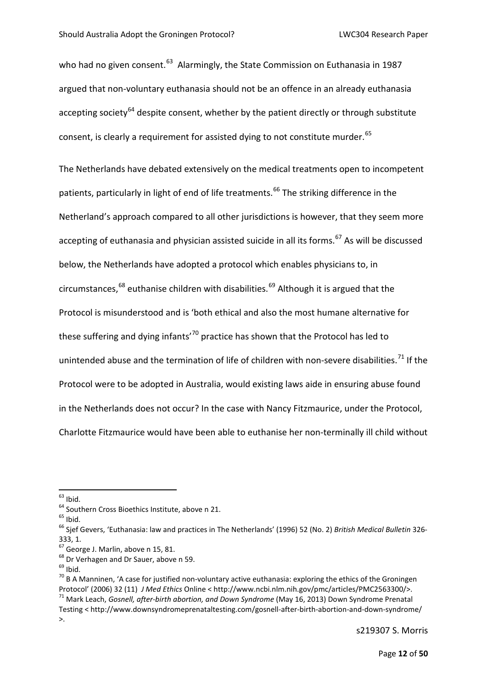who had no given consent.<sup>63</sup> Alarmingly, the State Commission on Euthanasia in 1987 argued that non-voluntary euthanasia should not be an offence in an already euthanasia accepting society<sup>[64](#page-9-1)</sup> despite consent, whether by the patient directly or through substitute consent, is clearly a requirement for assisted dying to not constitute murder.<sup>[65](#page-9-2)</sup>

The Netherlands have debated extensively on the medical treatments open to incompetent patients, particularly in light of end of life treatments.<sup>[66](#page-9-3)</sup> The striking difference in the Netherland's approach compared to all other jurisdictions is however, that they seem more accepting of euthanasia and physician assisted suicide in all its forms.<sup>[67](#page-9-4)</sup> As will be discussed below, the Netherlands have adopted a protocol which enables physicians to, in circumstances,<sup>[68](#page-9-5)</sup> euthanise children with disabilities.<sup>[69](#page-9-6)</sup> Although it is argued that the Protocol is misunderstood and is 'both ethical and also the most humane alternative for these suffering and dying infants'<sup>[70](#page-9-7)</sup> practice has shown that the Protocol has led to unintended abuse and the termination of life of children with non-severe disabilities.<sup>[71](#page-9-8)</sup> If the Protocol were to be adopted in Australia, would existing laws aide in ensuring abuse found in the Netherlands does not occur? In the case with Nancy Fitzmaurice, under the Protocol, Charlotte Fitzmaurice would have been able to euthanise her non-terminally ill child without

<span id="page-9-3"></span><span id="page-9-2"></span>

<span id="page-9-1"></span><span id="page-9-0"></span><sup>&</sup>lt;sup>63</sup> Ibid.<br><sup>64</sup> Southern Cross Bioethics Institute, above n 21.<br><sup>65</sup> Ibid.<br><sup>66</sup> Sjef Gevers, 'Euthanasia: law and practices in The Netherlands' (1996) 52 (No. 2) *British Medical Bulletin* 326-333, 1.<br> $^{67}$  George J. Marlin, above n 15, 81.

<span id="page-9-7"></span>

<span id="page-9-6"></span><span id="page-9-5"></span><span id="page-9-4"></span><sup>&</sup>lt;sup>68</sup> Dr Verhagen and Dr Sauer, above n 59.<br><sup>69</sup> Ibid.<br><sup>70</sup> B A Manninen, 'A case for justified non-voluntary active euthanasia: exploring the ethics of the Groningen Protocol' (2006) 32 (11) *J Med Ethics* Online [< http://www.ncbi.nlm.nih.gov/pmc/articles/PMC2563300/>](http://www.ncbi.nlm.nih.gov/pmc/articles/PMC2563300/). 71 Mark Leach, *Gosnell, after-birth abortion, and Down Syndrome* (May 16, 2013) Down Syndrome Prenatal Testing < http://www.downsyndromeprenataltesting.com/gosnell-after-birth-abortion-and-down-syndrome/

<span id="page-9-8"></span><sup>&</sup>gt;.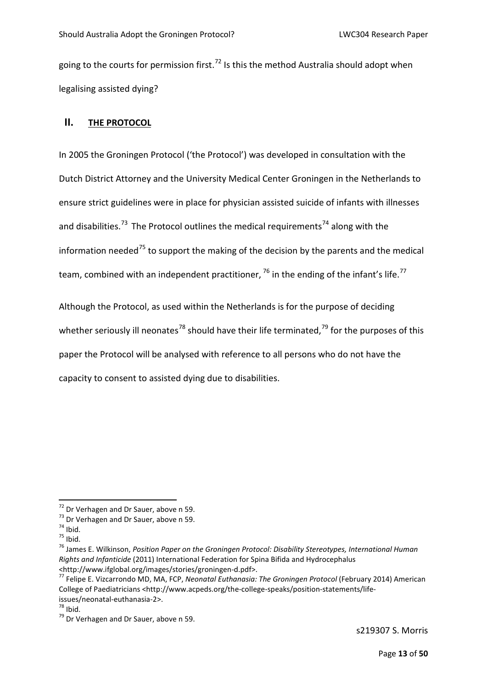going to the courts for permission first.<sup>[72](#page-10-0)</sup> Is this the method Australia should adopt when legalising assisted dying?

#### **II. THE PROTOCOL**

In 2005 the Groningen Protocol ('the Protocol') was developed in consultation with the Dutch District Attorney and the University Medical Center Groningen in the Netherlands to ensure strict guidelines were in place for physician assisted suicide of infants with illnesses and disabilities.<sup>[73](#page-10-1)</sup> The Protocol outlines the medical requirements<sup>[74](#page-10-2)</sup> along with the information needed $^{75}$  $^{75}$  $^{75}$  to support the making of the decision by the parents and the medical team, combined with an independent practitioner,  $^{76}$  $^{76}$  $^{76}$  in the ending of the infant's life.<sup>[77](#page-10-5)</sup>

Although the Protocol, as used within the Netherlands is for the purpose of deciding whether seriously ill neonates<sup>[78](#page-10-6)</sup> should have their life terminated,<sup>[79](#page-10-7)</sup> for the purposes of this paper the Protocol will be analysed with reference to all persons who do not have the capacity to consent to assisted dying due to disabilities.

<span id="page-10-2"></span>

<span id="page-10-4"></span><span id="page-10-3"></span>

<span id="page-10-1"></span><span id="page-10-0"></span><sup>&</sup>lt;sup>72</sup> Dr Verhagen and Dr Sauer, above n 59.<br><sup>73</sup> Dr Verhagen and Dr Sauer, above n 59.<br><sup>74</sup> Ibid.<br><sup>75</sup> James E. Wilkinson, *Position Paper on the Groningen Protocol: Disability Stereotypes, International Human Rights and Infanticide* (2011) International Federation for Spina Bifida and Hydrocephalus [<http://www.ifglobal.org/images/stories/groningen-d.pdf>](http://www.ifglobal.org/images/stories/groningen-d.pdf). [77](http://www.ifglobal.org/images/stories/groningen-d.pdf) Felipe E. Vizcarrondo MD, MA, FCP, *Neonatal Euthanasia: The Groningen Protocol* (February 2014) American

<span id="page-10-5"></span>College of Paediatricians [<http://www.acpeds.org/the-college-speaks/position-statements/life-](http://www.acpeds.org/the-college-speaks/position-statements/life-issues/neonatal-euthanasia-2)

<span id="page-10-7"></span>

<span id="page-10-6"></span>[issues/neonatal-euthanasia-2>](http://www.acpeds.org/the-college-speaks/position-statements/life-issues/neonatal-euthanasia-2).<br><sup>[78](http://www.acpeds.org/the-college-speaks/position-statements/life-issues/neonatal-euthanasia-2)</sup> Ibid.<br><sup>79</sup> Dr Verhagen and Dr Sauer, above n 59.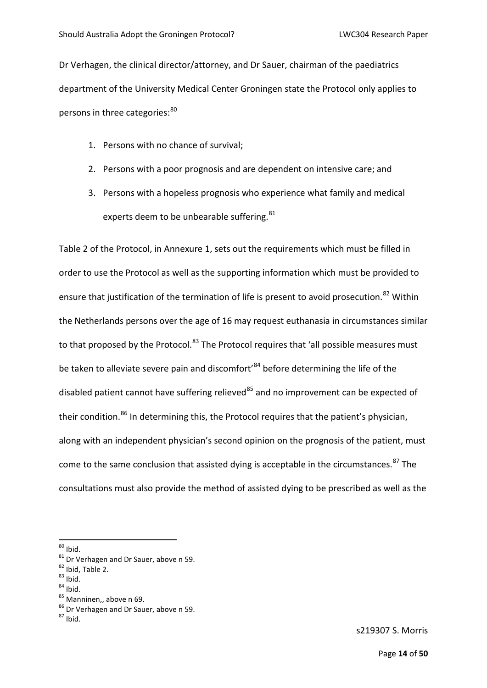Dr Verhagen, the clinical director/attorney, and Dr Sauer, chairman of the paediatrics department of the University Medical Center Groningen state the Protocol only applies to persons in three categories: [80](#page-11-0)

- 1. Persons with no chance of survival;
- 2. Persons with a poor prognosis and are dependent on intensive care; and
- 3. Persons with a hopeless prognosis who experience what family and medical experts deem to be unbearable suffering.<sup>[81](#page-11-1)</sup>

Table 2 of the Protocol, in Annexure 1, sets out the requirements which must be filled in order to use the Protocol as well as the supporting information which must be provided to ensure that justification of the termination of life is present to avoid prosecution.<sup>[82](#page-11-2)</sup> Within the Netherlands persons over the age of 16 may request euthanasia in circumstances similar to that proposed by the Protocol.<sup>[83](#page-11-3)</sup> The Protocol requires that 'all possible measures must be taken to alleviate severe pain and discomfort'<sup>[84](#page-11-4)</sup> before determining the life of the disabled patient cannot have suffering relieved $^{85}$  $^{85}$  $^{85}$  and no improvement can be expected of their condition.<sup>[86](#page-11-6)</sup> In determining this, the Protocol requires that the patient's physician, along with an independent physician's second opinion on the prognosis of the patient, must come to the same conclusion that assisted dying is acceptable in the circumstances.<sup>[87](#page-11-7)</sup> The consultations must also provide the method of assisted dying to be prescribed as well as the

- 
- <span id="page-11-5"></span><span id="page-11-4"></span><span id="page-11-3"></span>

<span id="page-11-1"></span>

<span id="page-11-2"></span>

<span id="page-11-0"></span><sup>&</sup>lt;sup>80</sup> Ibid.<br><sup>81</sup> Dr Verhagen and Dr Sauer, above n 59.<br><sup>82</sup> Ibid, Table 2.<br><sup>83</sup> Ibid.<br><sup>85</sup> Manninen,, above n 69.<br><sup>86</sup> Dr Verhagen and Dr Sauer, above n 59.<br><sup>87</sup> Ibid.

<span id="page-11-7"></span><span id="page-11-6"></span>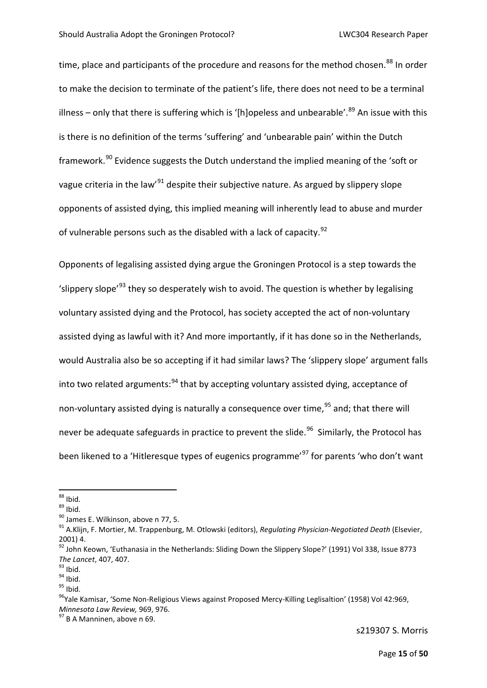time, place and participants of the procedure and reasons for the method chosen.<sup>[88](#page-12-0)</sup> In order to make the decision to terminate of the patient's life, there does not need to be a terminal illness – only that there is suffering which is '[h]opeless and unbearable'.<sup>[89](#page-12-1)</sup> An issue with this is there is no definition of the terms 'suffering' and 'unbearable pain' within the Dutch framework.<sup>[90](#page-12-2)</sup> Evidence suggests the Dutch understand the implied meaning of the 'soft or vague criteria in the law<sup>'[91](#page-12-3)</sup> despite their subjective nature. As argued by slippery slope opponents of assisted dying, this implied meaning will inherently lead to abuse and murder of vulnerable persons such as the disabled with a lack of capacity.  $92$ 

Opponents of legalising assisted dying argue the Groningen Protocol is a step towards the 'slippery slope<sup>'[93](#page-12-5)</sup> they so desperately wish to avoid. The question is whether by legalising voluntary assisted dying and the Protocol, has society accepted the act of non-voluntary assisted dying as lawful with it? And more importantly, if it has done so in the Netherlands, would Australia also be so accepting if it had similar laws? The 'slippery slope' argument falls into two related arguments: $94$  that by accepting voluntary assisted dying, acceptance of non-voluntary assisted dying is naturally a consequence over time,  $95$  and; that there will never be adequate safeguards in practice to prevent the slide.<sup>[96](#page-12-8)</sup> Similarly, the Protocol has been likened to a 'Hitleresque types of eugenics programme'<sup>[97](#page-12-9)</sup> for parents 'who don't want

<span id="page-12-3"></span><span id="page-12-2"></span>

<span id="page-12-1"></span><span id="page-12-0"></span><sup>&</sup>lt;sup>88</sup> Ibid.<br><sup>89</sup> Ibid.<br><sup>90</sup> James E. Wilkinson, above n 77, 5.<br><sup>91</sup> A.Klijn, F. Mortier, M. Trappenburg, M. Otlowski (editors), *Regulating Physician-Negotiated Death* (Elsevier, 2001) 4.

<span id="page-12-4"></span><sup>&</sup>lt;sup>92</sup> John Keown, 'Euthanasia in the Netherlands: Sliding Down the Slippery Slope?' (1991) Vol 338, Issue 8773

<span id="page-12-6"></span><span id="page-12-5"></span>

<span id="page-12-8"></span><span id="page-12-7"></span>

*The Lancet, 407, 407.*<br><sup>93</sup> Ibid.<br><sup>94</sup> Ibid.<br><sup>95</sup>Yale Kamisar, 'Some Non-Religious Views against Proposed Mercy-Killing Leglisaltion' (1958) Vol 42:969,<br>*Minnesota Law Review,* 969, 976.

<span id="page-12-9"></span><sup>&</sup>lt;sup>97</sup> B A Manninen, above n 69.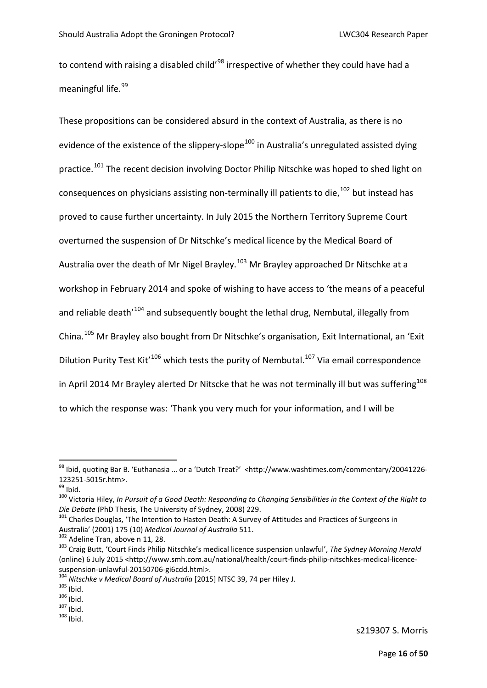to contend with raising a disabled child'<sup>[98](#page-13-0)</sup> irrespective of whether they could have had a meaningful life. [99](#page-13-1)

These propositions can be considered absurd in the context of Australia, as there is no evidence of the existence of the slippery-slope<sup>[100](#page-13-2)</sup> in Australia's unregulated assisted dying practice.<sup>[101](#page-13-3)</sup> The recent decision involving Doctor Philip Nitschke was hoped to shed light on consequences on physicians assisting non-terminally ill patients to die.<sup>[102](#page-13-4)</sup> but instead has proved to cause further uncertainty. In July 2015 the Northern Territory Supreme Court overturned the suspension of Dr Nitschke's medical licence by the Medical Board of Australia over the death of Mr Nigel Brayley.[103](#page-13-5) Mr Brayley approached Dr Nitschke at a workshop in February 2014 and spoke of wishing to have access to 'the means of a peaceful and reliable death<sup>'[104](#page-13-6)</sup> and subsequently bought the lethal drug, Nembutal, illegally from China.[105](#page-13-7) Mr Brayley also bought from Dr Nitschke's organisation, Exit International, an 'Exit Dilution Purity Test Kit<sup> $106$ </sup> which tests the purity of Nembutal.<sup>[107](#page-13-9)</sup> Via email correspondence in April 2014 Mr Brayley alerted Dr Nitscke that he was not terminally ill but was suffering<sup>[108](#page-13-10)</sup> to which the response was: 'Thank you very much for your information, and I will be

<span id="page-13-0"></span><sup>98</sup> Ibid, quoting Bar B. 'Euthanasia ... or a 'Dutch Treat?' <http://www.washtimes.com/commentary/20041226-

<span id="page-13-2"></span>

<span id="page-13-1"></span><sup>123251-5015</sup>r.htm>.<br><sup>99</sup> Ibid.<br><sup>100</sup> Victoria Hiley, *In Pursuit of a Good Death: Responding to Changing Sensibilities in the Context of the Right to<br><i>Die Debate* (PhD Thesis, The University of Sydney, 2008) 229.

<span id="page-13-3"></span><sup>&</sup>lt;sup>101</sup> Charles Douglas, 'The Intention to Hasten Death: A Survey of Attitudes and Practices of Surgeons in Australia' (2001) 175 (10) *Medical Journal of Australia* 511.<br><sup>102</sup> Adeline Tran, above n 11, 28.

<span id="page-13-5"></span><span id="page-13-4"></span>Australia' (2001) 175 (10) *Medical Journal of Australia* 511. 102 Adeline Tran, above n 11, 28. 103 Craig Butt, 'Court Finds Philip Nitschke's medical licence suspension unlawful', *The Sydney Morning Herald* (online) 6 July 2015 [<http://www.smh.com.au/national/health/court-finds-philip-nitschkes-medical-licence](http://www.smh.com.au/national/health/court-finds-philip-nitschkes-medical-licence-suspension-unlawful-20150706-gi6cdd.html)[suspension-unlawful-20150706-gi6cdd.html>](http://www.smh.com.au/national/health/court-finds-philip-nitschkes-medical-licence-suspension-unlawful-20150706-gi6cdd.html).<br><sup>[104](http://www.smh.com.au/national/health/court-finds-philip-nitschkes-medical-licence-suspension-unlawful-20150706-gi6cdd.html)</sup> *Nitschke v Medical Board of Australia* [2015] NTSC 39, 74 per Hiley J.<br><sup>105</sup> Ibid. 107 Ibid. 108 Ibid. 108 Ibid.

<span id="page-13-6"></span>

<span id="page-13-7"></span>

<span id="page-13-8"></span>

<span id="page-13-9"></span>

<span id="page-13-10"></span>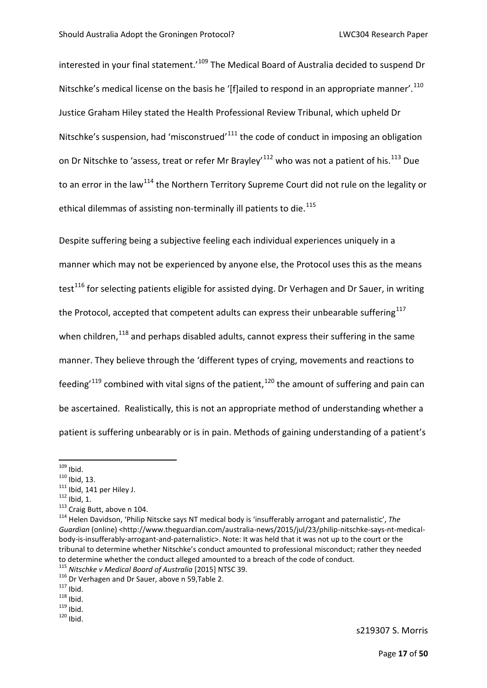interested in your final statement.<sup>'[109](#page-14-0)</sup> The Medical Board of Australia decided to suspend Dr Nitschke's medical license on the basis he '[f]ailed to respond in an appropriate manner'.<sup>[110](#page-14-1)</sup> Justice Graham Hiley stated the Health Professional Review Tribunal, which upheld Dr Nitschke's suspension, had 'misconstrued'<sup>[111](#page-14-2)</sup> the code of conduct in imposing an obligation on Dr Nitschke to 'assess, treat or refer Mr Brayley'<sup>[112](#page-14-3)</sup> who was not a patient of his.<sup>[113](#page-14-4)</sup> Due to an error in the law<sup>[114](#page-14-5)</sup> the Northern Territory Supreme Court did not rule on the legality or ethical dilemmas of assisting non-terminally ill patients to die.<sup>[115](#page-14-6)</sup>

Despite suffering being a subjective feeling each individual experiences uniquely in a manner which may not be experienced by anyone else, the Protocol uses this as the means test<sup>[116](#page-14-7)</sup> for selecting patients eligible for assisted dying. Dr Verhagen and Dr Sauer, in writing the Protocol, accepted that competent adults can express their unbearable suffering $117$ when children, $118$  and perhaps disabled adults, cannot express their suffering in the same manner. They believe through the 'different types of crying, movements and reactions to feeding<sup> $119$ </sup> combined with vital signs of the patient,  $120$  the amount of suffering and pain can be ascertained. Realistically, this is not an appropriate method of understanding whether a patient is suffering unbearably or is in pain. Methods of gaining understanding of a patient's

<span id="page-14-11"></span>

<span id="page-14-1"></span>

<span id="page-14-2"></span>

<span id="page-14-3"></span>

<span id="page-14-5"></span><span id="page-14-4"></span>

<span id="page-14-0"></span><sup>109</sup> Ibid.<br><sup>110</sup> Ibid, 13.<br><sup>112</sup> Ibid, 1. 114 per Hiley J.<br><sup>113</sup> Craig Butt, above n 104.<br><sup>114</sup> Helen Davidson, 'Philip Nitscke says NT medical body is 'insufferably arrogant and paternalistic', *The* Guardian (online) [<http://www.theguardian.com/australia-news/2015/jul/23/philip-nitschke-says-nt-medical](http://www.theguardian.com/australia-news/2015/jul/23/philip-nitschke-says-nt-medical-body-is-insufferably-arrogant-and-paternalistic)[body-is-insufferably-arrogant-and-paternalistic>](http://www.theguardian.com/australia-news/2015/jul/23/philip-nitschke-says-nt-medical-body-is-insufferably-arrogant-and-paternalistic). Note: It was held that it was not up to the court or the tribunal to determine whether Nitschke's conduct amounted to professional misconduct; rather they needed to determine whether the conduct alleged amounted to a breach of the code of conduct.<br><sup>115</sup> Nitschke v Medical Board of Australia [2015] NTSC 39.

<span id="page-14-8"></span><span id="page-14-7"></span><span id="page-14-6"></span><sup>&</sup>lt;sup>115</sup> Dr Verhagen and Dr Sauer, above n 59,Table 2.<br><sup>117</sup> Ibid.<br><sup>118</sup> Ibid. <sup>119</sup> Ibid. <sup>119</sup> Ibid.

<span id="page-14-10"></span><span id="page-14-9"></span>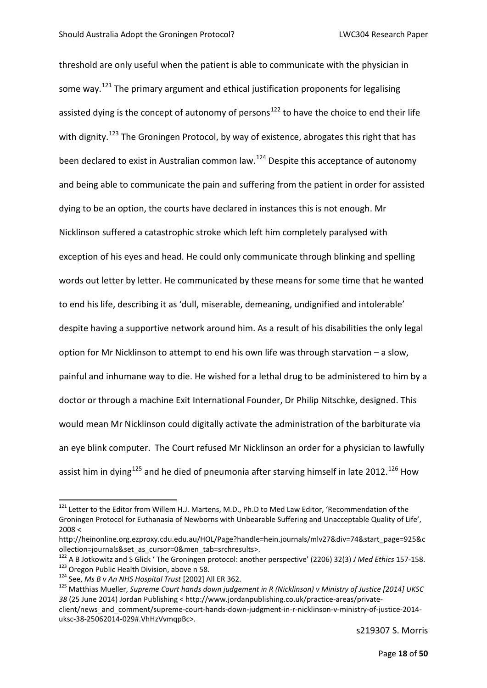threshold are only useful when the patient is able to communicate with the physician in some way.<sup>[121](#page-15-0)</sup> The primary argument and ethical justification proponents for legalising assisted dying is the concept of autonomy of persons<sup>[122](#page-15-1)</sup> to have the choice to end their life with dignity.<sup>[123](#page-15-2)</sup> The Groningen Protocol, by way of existence, abrogates this right that has been declared to exist in Australian common law.<sup>[124](#page-15-3)</sup> Despite this acceptance of autonomy and being able to communicate the pain and suffering from the patient in order for assisted dying to be an option, the courts have declared in instances this is not enough. Mr Nicklinson suffered a catastrophic stroke which left him completely paralysed with exception of his eyes and head. He could only communicate through blinking and spelling words out letter by letter. He communicated by these means for some time that he wanted to end his life, describing it as 'dull, miserable, demeaning, undignified and intolerable' despite having a supportive network around him. As a result of his disabilities the only legal option for Mr Nicklinson to attempt to end his own life was through starvation – a slow, painful and inhumane way to die. He wished for a lethal drug to be administered to him by a doctor or through a machine Exit International Founder, Dr Philip Nitschke, designed. This would mean Mr Nicklinson could digitally activate the administration of the barbiturate via an eye blink computer. The Court refused Mr Nicklinson an order for a physician to lawfully assist him in dying<sup>[125](#page-15-4)</sup> and he died of pneumonia after starving himself in late 2012.<sup>[126](#page-15-1)</sup> How

<span id="page-15-0"></span><sup>&</sup>lt;sup>121</sup> Letter to the Editor from Willem H.J. Martens, M.D., Ph.D to Med Law Editor, 'Recommendation of the Groningen Protocol for Euthanasia of Newborns with Unbearable Suffering and Unacceptable Quality of Life',  $2008 <$ 

[http://heinonline.org.ezproxy.cdu.edu.au/HOL/Page?handle=hein.journals/mlv27&div=74&start\\_page=925&c](http://heinonline.org.ezproxy.cdu.edu.au/HOL/Page?handle=hein.journals/mlv27&div=74&start_page=925&collection=journals&set_as_cursor=0&men_tab=srchresults)

<span id="page-15-1"></span>[ollection=journals&set\\_as\\_cursor=0&men\\_tab=srchresults>](http://heinonline.org.ezproxy.cdu.edu.au/HOL/Page?handle=hein.journals/mlv27&div=74&start_page=925&collection=journals&set_as_cursor=0&men_tab=srchresults).<br><sup>[122](http://heinonline.org.ezproxy.cdu.edu.au/HOL/Page?handle=hein.journals/mlv27&div=74&start_page=925&collection=journals&set_as_cursor=0&men_tab=srchresults)</sup> A B Jotkowitz and S Glick ' The Groningen protocol: another perspective' (2206) 32(3) J Med Ethics 157-158.<br><sup>123</sup> Oregon Public Health Division, above n 58.<br><sup>1</sup>

<span id="page-15-2"></span>

<span id="page-15-4"></span><span id="page-15-3"></span>*<sup>38</sup>* (25 June 2014) Jordan Publishing < [http://www.jordanpublishing.co.uk/practice-areas/private-](http://www.jordanpublishing.co.uk/practice-areas/private-client/news_and_comment/supreme-court-hands-down-judgment-in-r-nicklinson-v-ministry-of-justice-2014-uksc-38-25062014-029#.VhHzVvmqpBc)

[client/news\\_and\\_comment/supreme-court-hands-down-judgment-in-r-nicklinson-v-ministry-of-justice-2014](http://www.jordanpublishing.co.uk/practice-areas/private-client/news_and_comment/supreme-court-hands-down-judgment-in-r-nicklinson-v-ministry-of-justice-2014-uksc-38-25062014-029#.VhHzVvmqpBc) [uksc-38-25062014-029#.VhHzVvmqpBc>](http://www.jordanpublishing.co.uk/practice-areas/private-client/news_and_comment/supreme-court-hands-down-judgment-in-r-nicklinson-v-ministry-of-justice-2014-uksc-38-25062014-029#.VhHzVvmqpBc).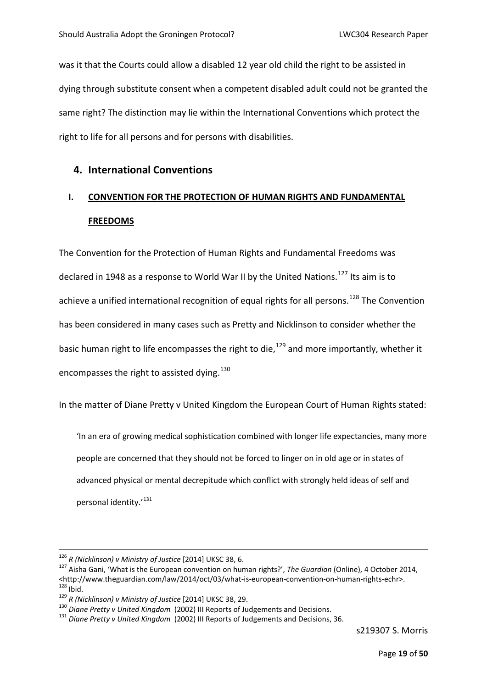was it that the Courts could allow a disabled 12 year old child the right to be assisted in dying through substitute consent when a competent disabled adult could not be granted the same right? The distinction may lie within the International Conventions which protect the right to life for all persons and for persons with disabilities.

#### **4. International Conventions**

## **I. CONVENTION FOR THE PROTECTION OF HUMAN RIGHTS AND FUNDAMENTAL FREEDOMS**

The Convention for the Protection of Human Rights and Fundamental Freedoms was declared in 1948 as a response to World War II by the United Nations.<sup>[127](#page-16-0)</sup> Its aim is to achieve a unified international recognition of equal rights for all persons.<sup>[128](#page-16-1)</sup> The Convention has been considered in many cases such as Pretty and Nicklinson to consider whether the basic human right to life encompasses the right to die.<sup>[129](#page-16-2)</sup> and more importantly, whether it encompasses the right to assisted dying.<sup>[130](#page-16-3)</sup>

In the matter of Diane Pretty v United Kingdom the European Court of Human Rights stated:

'In an era of growing medical sophistication combined with longer life expectancies, many more people are concerned that they should not be forced to linger on in old age or in states of advanced physical or mental decrepitude which conflict with strongly held ideas of self and personal identity.'[131](#page-16-4)

<span id="page-16-0"></span><sup>&</sup>lt;sup>126</sup> *R (Nicklinson) v Ministry of Justice* [2014] UKSC 38, 6.<br><sup>127</sup> Aisha Gani, 'What is the European convention on human rights?', *The Guardian* (Online), 4 October 2014, [<http://www.theguardian.com/law/2014/oct/03/what-is-european-convention-on-human-rights-echr>](http://www.theguardian.com/law/2014/oct/03/what-is-european-convention-on-human-rights-echr).<br>
<sup>[128](http://www.theguardian.com/law/2014/oct/03/what-is-european-convention-on-human-rights-echr)</sup> Ibid.<br>
<sup>129</sup> R (Nicklinson) v Ministry of Justice [2014] UKSC 38, 29.<br>
<sup>130</sup> Diane Pretty v United Kingdom (2002) III Re

<span id="page-16-2"></span><span id="page-16-1"></span>

<span id="page-16-3"></span>

<span id="page-16-4"></span>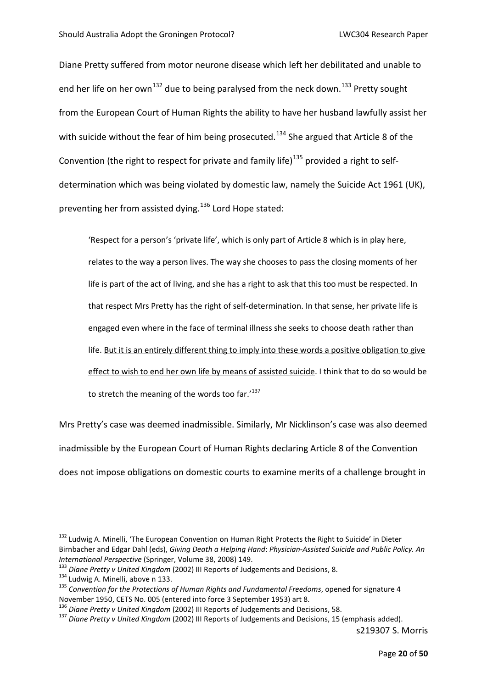Diane Pretty suffered from motor neurone disease which left her debilitated and unable to end her life on her own<sup>[132](#page-17-0)</sup> due to being paralysed from the neck down.<sup>[133](#page-17-1)</sup> Pretty sought from the European Court of Human Rights the ability to have her husband lawfully assist her with suicide without the fear of him being prosecuted.<sup>[134](#page-17-2)</sup> She argued that Article 8 of the Convention (the right to respect for private and family life)<sup>[135](#page-17-3)</sup> provided a right to selfdetermination which was being violated by domestic law, namely the Suicide Act 1961 (UK), preventing her from assisted dying.<sup>[136](#page-17-4)</sup> Lord Hope stated:

'Respect for a person's 'private life', which is only part of Article 8 which is in play here, relates to the way a person lives. The way she chooses to pass the closing moments of her life is part of the act of living, and she has a right to ask that this too must be respected. In that respect Mrs Pretty has the right of self-determination. In that sense, her private life is engaged even where in the face of terminal illness she seeks to choose death rather than life. But it is an entirely different thing to imply into these words a positive obligation to give effect to wish to end her own life by means of assisted suicide. I think that to do so would be to stretch the meaning of the words too far.'<sup>[137](#page-17-5)</sup>

Mrs Pretty's case was deemed inadmissible. Similarly, Mr Nicklinson's case was also deemed inadmissible by the European Court of Human Rights declaring Article 8 of the Convention does not impose obligations on domestic courts to examine merits of a challenge brought in

<span id="page-17-0"></span><sup>&</sup>lt;sup>132</sup> Ludwig A. Minelli, 'The European Convention on Human Right Protects the Right to Suicide' in Dieter Birnbacher and Edgar Dahl (eds), *Giving Death a Helping Hand*: *Physician-Assisted Suicide and Public Policy. An*  International Perspective (Springer, Volume 38, 2008) 149.<br><sup>133</sup> Diane Pretty v United Kingdom (2002) III Reports of Judgements and Decisions, 8.<br><sup>134</sup> Ludwig A. Minelli, above n 133.<br><sup>135</sup> Convention for the Protections o

<span id="page-17-1"></span>

<span id="page-17-3"></span><span id="page-17-2"></span>November 1950, CETS No. 005 (entered into force 3 September 1953) art 8.<br><sup>136</sup> Diane Pretty v United Kingdom (2002) III Reports of Judgements and Decisions, 58.

<span id="page-17-5"></span><span id="page-17-4"></span><sup>136</sup> *Diane Pretty v United Kingdom* (2002) III Reports of Judgements and Decisions, 58. 137 *Diane Pretty v United Kingdom* (2002) III Reports of Judgements and Decisions, 15 (emphasis added).

s219307 S. Morris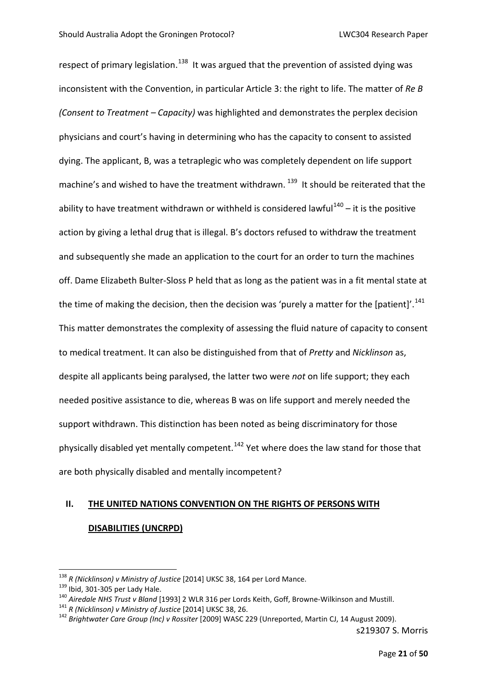respect of primary legislation.<sup>[138](#page-18-0)</sup> It was argued that the prevention of assisted dying was inconsistent with the Convention, in particular Article 3: the right to life. The matter of *Re B (Consent to Treatment – Capacity)* was highlighted and demonstrates the perplex decision physicians and court's having in determining who has the capacity to consent to assisted dying. The applicant, B, was a tetraplegic who was completely dependent on life support machine's and wished to have the treatment withdrawn.<sup>139</sup> It should be reiterated that the ability to have treatment withdrawn or withheld is considered lawful<sup>[140](#page-18-2)</sup> – it is the positive action by giving a lethal drug that is illegal. B's doctors refused to withdraw the treatment and subsequently she made an application to the court for an order to turn the machines off. Dame Elizabeth Bulter-Sloss P held that as long as the patient was in a fit mental state at the time of making the decision, then the decision was 'purely a matter for the [patient]'.<sup>[141](#page-18-3)</sup> This matter demonstrates the complexity of assessing the fluid nature of capacity to consent to medical treatment. It can also be distinguished from that of *Pretty* and *Nicklinson* as, despite all applicants being paralysed, the latter two were *not* on life support; they each needed positive assistance to die, whereas B was on life support and merely needed the support withdrawn. This distinction has been noted as being discriminatory for those physically disabled yet mentally competent.<sup>[142](#page-18-4)</sup> Yet where does the law stand for those that are both physically disabled and mentally incompetent?

# **II. THE UNITED NATIONS CONVENTION ON THE RIGHTS OF PERSONS WITH**

#### **DISABILITIES (UNCRPD)**

<span id="page-18-2"></span><span id="page-18-1"></span>

<span id="page-18-0"></span><sup>&</sup>lt;sup>138</sup> R (Nicklinson) v Ministry of Justice [2014] UKSC 38, 164 per Lord Mance.<br><sup>139</sup> Ibid, 301-305 per Lady Hale.<br><sup>140</sup> Airedale NHS Trust v Bland [1993] 2 WLR 316 per Lords Keith, Goff, Browne-Wilkinson and Mustill.<br><sup>141</sup>

<span id="page-18-3"></span>

<span id="page-18-4"></span>

s219307 S. Morris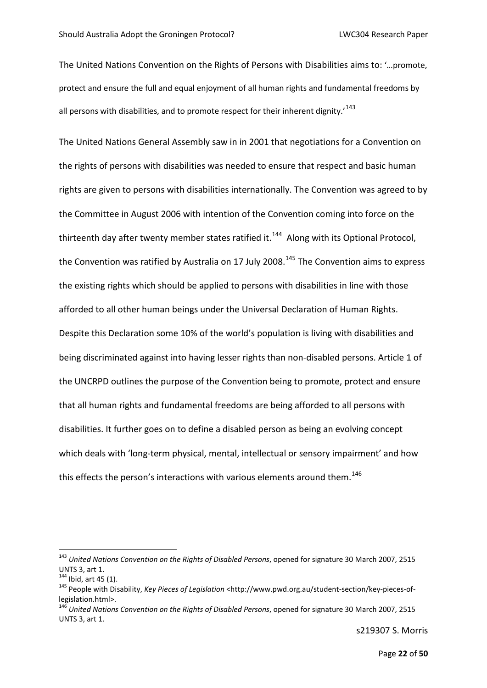The United Nations Convention on the Rights of Persons with Disabilities aims to: '…promote, protect and ensure the full and equal enjoyment of all human rights and fundamental freedoms by all persons with disabilities, and to promote respect for their inherent dignity.<sup>[143](#page-19-0)</sup>

The United Nations General Assembly saw in in 2001 that negotiations for a Convention on the rights of persons with disabilities was needed to ensure that respect and basic human rights are given to persons with disabilities internationally. The Convention was agreed to by the Committee in August 2006 with intention of the Convention coming into force on the thirteenth day after twenty member states ratified it.<sup>144</sup> Along with its Optional Protocol, the Convention was ratified by Australia on 17 July 2008.<sup>[145](#page-19-2)</sup> The Convention aims to express the existing rights which should be applied to persons with disabilities in line with those afforded to all other human beings under the Universal Declaration of Human Rights. Despite this Declaration some 10% of the world's population is living with disabilities and being discriminated against into having lesser rights than non-disabled persons. Article 1 of the UNCRPD outlines the purpose of the Convention being to promote, protect and ensure that all human rights and fundamental freedoms are being afforded to all persons with disabilities. It further goes on to define a disabled person as being an evolving concept which deals with 'long-term physical, mental, intellectual or sensory impairment' and how this effects the person's interactions with various elements around them.<sup>[146](#page-19-3)</sup>

<span id="page-19-0"></span> <sup>143</sup> *United Nations Convention on the Rights of Disabled Persons*, opened for signature 30 March 2007, 2515 UNTS 3, art 1.<br><sup>144</sup> Ibid, art 45 (1).

<span id="page-19-2"></span><span id="page-19-1"></span><sup>&</sup>lt;sup>145</sup> People with Disability, *Key Pieces of Legislation* <http://www.pwd.org.au/student-section/key-pieces-of-legislation.html>.

<span id="page-19-3"></span><sup>&</sup>lt;sup>[146](http://www.pwd.org.au/student-section/key-pieces-of-legislation.html)</sup> United Nations Convention on the Rights of Disabled Persons, opened for signature 30 March 2007, 2515 UNTS 3, art 1.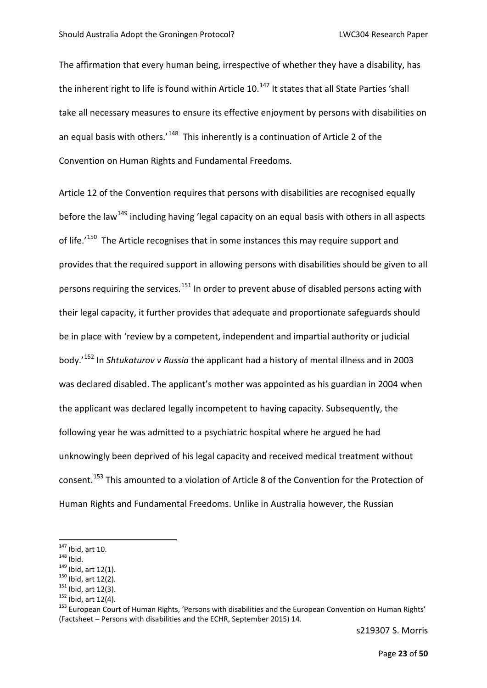The affirmation that every human being, irrespective of whether they have a disability, has the inherent right to life is found within Article 10.<sup>[147](#page-20-0)</sup> It states that all State Parties 'shall take all necessary measures to ensure its effective enjoyment by persons with disabilities on an equal basis with others.<sup> $148$ </sup> This inherently is a continuation of Article 2 of the Convention on Human Rights and Fundamental Freedoms.

Article 12 of the Convention requires that persons with disabilities are recognised equally before the law<sup>[149](#page-20-2)</sup> including having 'legal capacity on an equal basis with others in all aspects of life.<sup>'150</sup> The Article recognises that in some instances this may require support and provides that the required support in allowing persons with disabilities should be given to all persons requiring the services.<sup>[151](#page-20-4)</sup> In order to prevent abuse of disabled persons acting with their legal capacity, it further provides that adequate and proportionate safeguards should be in place with 'review by a competent, independent and impartial authority or judicial body.'[152](#page-20-5) In *Shtukaturov v Russia* the applicant had a history of mental illness and in 2003 was declared disabled. The applicant's mother was appointed as his guardian in 2004 when the applicant was declared legally incompetent to having capacity. Subsequently, the following year he was admitted to a psychiatric hospital where he argued he had unknowingly been deprived of his legal capacity and received medical treatment without consent.[153](#page-20-6) This amounted to a violation of Article 8 of the Convention for the Protection of Human Rights and Fundamental Freedoms. Unlike in Australia however, the Russian

<span id="page-20-2"></span>

<span id="page-20-3"></span>

<span id="page-20-4"></span>

<span id="page-20-6"></span><span id="page-20-5"></span>

<span id="page-20-1"></span><span id="page-20-0"></span><sup>&</sup>lt;sup>147</sup> Ibid, art 10.<br>
<sup>148</sup> Ibid, art 12(1).<br>
<sup>149</sup> Ibid, art 12(2).<br>
<sup>151</sup> Ibid, art 12(3).<br>
<sup>152</sup> Ibid, art 12(4).<br>
<sup>152</sup> Ibid, art 12(4).<br>
<sup>152</sup> European Court of Human Rights, 'Persons with disabilities and the Europea (Factsheet – Persons with disabilities and the ECHR, September 2015) 14.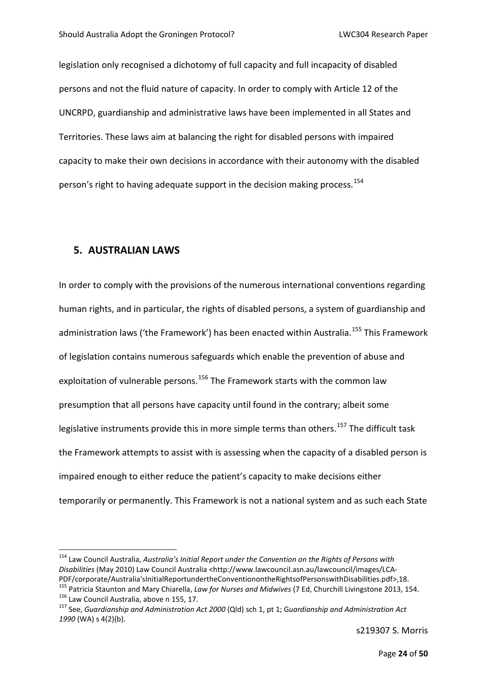legislation only recognised a dichotomy of full capacity and full incapacity of disabled persons and not the fluid nature of capacity. In order to comply with Article 12 of the UNCRPD, guardianship and administrative laws have been implemented in all States and Territories. These laws aim at balancing the right for disabled persons with impaired capacity to make their own decisions in accordance with their autonomy with the disabled person's right to having adequate support in the decision making process.<sup>[154](#page-21-0)</sup>

#### **5. AUSTRALIAN LAWS**

In order to comply with the provisions of the numerous international conventions regarding human rights, and in particular, the rights of disabled persons, a system of guardianship and administration laws ('the Framework') has been enacted within Australia.<sup>[155](#page-21-1)</sup> This Framework of legislation contains numerous safeguards which enable the prevention of abuse and exploitation of vulnerable persons.<sup>[156](#page-21-2)</sup> The Framework starts with the common law presumption that all persons have capacity until found in the contrary; albeit some legislative instruments provide this in more simple terms than others.<sup>[157](#page-21-3)</sup> The difficult task the Framework attempts to assist with is assessing when the capacity of a disabled person is impaired enough to either reduce the patient's capacity to make decisions either temporarily or permanently. This Framework is not a national system and as such each State

<span id="page-21-0"></span> <sup>154</sup> Law Council Australia, *Australia's Initial Report under the Convention on the Rights of Persons with Disabilities* (May 2010) Law Council Australia [<http://www.lawcouncil.asn.au/lawcouncil/images/LCA-](http://www.lawcouncil.asn.au/lawcouncil/images/LCA-PDF/corporate/Australia)[PDF/corporate/Australia'sInitialReportundertheConventionontheRightsofPersonswithDisabilities.pdf>](http://www.lawcouncil.asn.au/lawcouncil/images/LCA-PDF/corporate/Australia),18.<br><sup>[155](http://www.lawcouncil.asn.au/lawcouncil/images/LCA-PDF/corporate/Australia)</sup> Patricia Staunton and Mary Chiarella, *Law for Nurses and Midwives* (7 Ed, Churchill Livingstone 2013, 154.<br><sup>156</sup>

<span id="page-21-3"></span><span id="page-21-2"></span><span id="page-21-1"></span>*<sup>1990</sup>* (WA) s 4(2)(b).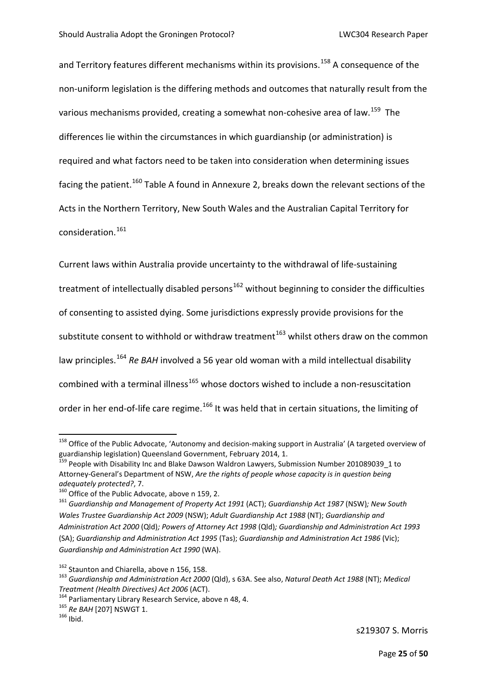and Territory features different mechanisms within its provisions.<sup>[158](#page-22-0)</sup> A consequence of the non-uniform legislation is the differing methods and outcomes that naturally result from the various mechanisms provided, creating a somewhat non-cohesive area of law.<sup>[159](#page-22-1)</sup> The differences lie within the circumstances in which guardianship (or administration) is required and what factors need to be taken into consideration when determining issues facing the patient.<sup>[160](#page-22-2)</sup> Table A found in Annexure 2, breaks down the relevant sections of the Acts in the Northern Territory, New South Wales and the Australian Capital Territory for consideration.<sup>[161](#page-22-3)</sup>

Current laws within Australia provide uncertainty to the withdrawal of life-sustaining treatment of intellectually disabled persons<sup>[162](#page-22-4)</sup> without beginning to consider the difficulties of consenting to assisted dying. Some jurisdictions expressly provide provisions for the substitute consent to withhold or withdraw treatment<sup>[163](#page-22-5)</sup> whilst others draw on the common law principles.<sup>[164](#page-22-6)</sup> Re BAH involved a 56 year old woman with a mild intellectual disability combined with a terminal illness<sup>[165](#page-22-7)</sup> whose doctors wished to include a non-resuscitation order in her end-of-life care regime.<sup>[166](#page-22-8)</sup> It was held that in certain situations, the limiting of

<span id="page-22-0"></span><sup>&</sup>lt;sup>158</sup> Office of the Public Advocate, 'Autonomy and decision-making support in Australia' (A targeted overview of guardianship legislation) Queensland Government, February 2014, 1.<br><sup>159</sup> People with Disability Inc and Blake Dawson Waldron Lawyers, Submission Number 201089039\_1 to

<span id="page-22-1"></span>Attorney-General's Department of NSW, *Are the rights of people whose capacity is in question being* 

<span id="page-22-3"></span>

<span id="page-22-2"></span>*adequately protected?*, 7. 160 Office of the Public Advocate, above n 159, 2. 161 *Guardianship and Management of Property Act 1991* (ACT); *Guardianship Act 1987* (NSW)*; New South Wales Trustee Guardianship Act 2009* (NSW); *Adult Guardianship Act 1988* (NT); *Guardianship and Administration Act 2000* (Qld)*; Powers of Attorney Act 1998* (Qld)*; Guardianship and Administration Act 1993*  (SA); *Guardianship and Administration Act 1995* (Tas); *Guardianship and Administration Act 1986* (Vic); *Guardianship and Administration Act 1990* (WA).

<span id="page-22-4"></span><sup>&</sup>lt;sup>162</sup> Staunton and Chiarella, above n 156, 158.<br><sup>163</sup> Guardianship and Administration Act 2000 (Qld), s 63A. See also, *Natural Death Act 1988* (NT); *Medical* 

<span id="page-22-6"></span><span id="page-22-5"></span>*Treatment (Health Directives) Act 2006* (ACT).<br><sup>164</sup> Parliamentary Library Research Service, above n 48, 4.<br><sup>165</sup> *Re BAH* [207] NSWGT 1.<br><sup>166</sup> Ibid.

<span id="page-22-8"></span><span id="page-22-7"></span>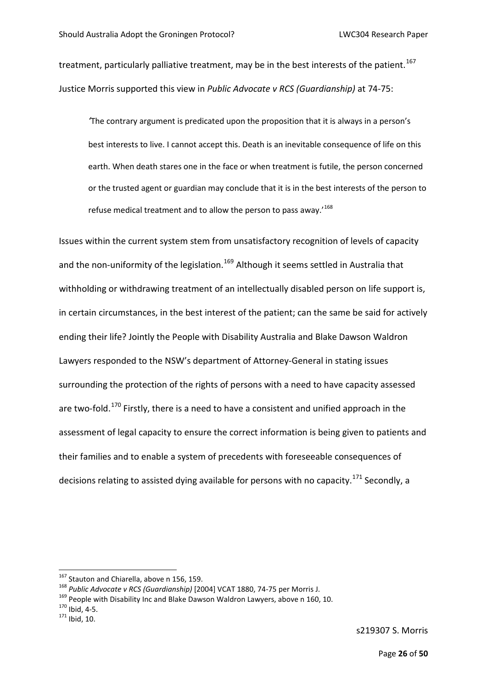treatment, particularly palliative treatment, may be in the best interests of the patient.<sup>[167](#page-23-0)</sup> Justice Morris supported this view in *Public Advocate v RCS (Guardianship)* at 74-75:

*'*The contrary argument is predicated upon the proposition that it is always in a person's best interests to live. I cannot accept this. Death is an inevitable consequence of life on this earth. When death stares one in the face or when treatment is futile, the person concerned or the trusted agent or guardian may conclude that it is in the best interests of the person to refuse medical treatment and to allow the person to pass away.'[168](#page-23-1)

Issues within the current system stem from unsatisfactory recognition of levels of capacity and the non-uniformity of the legislation.<sup>[169](#page-23-2)</sup> Although it seems settled in Australia that withholding or withdrawing treatment of an intellectually disabled person on life support is, in certain circumstances, in the best interest of the patient; can the same be said for actively ending their life? Jointly the People with Disability Australia and Blake Dawson Waldron Lawyers responded to the NSW's department of Attorney-General in stating issues surrounding the protection of the rights of persons with a need to have capacity assessed are two-fold.<sup>[170](#page-23-3)</sup> Firstly, there is a need to have a consistent and unified approach in the assessment of legal capacity to ensure the correct information is being given to patients and their families and to enable a system of precedents with foreseeable consequences of decisions relating to assisted dying available for persons with no capacity.<sup>[171](#page-23-4)</sup> Secondly, a

<span id="page-23-1"></span><span id="page-23-0"></span><sup>&</sup>lt;sup>167</sup> Stauton and Chiarella, above n 156, 159.<br><sup>168</sup> Public Advocate v RCS (Guardianship) [2004] VCAT 1880, 74-75 per Morris J.<br><sup>169</sup> People with Disability Inc and Blake Dawson Waldron Lawyers, above n 160, 10.<br><sup>170</sup> Ibi

<span id="page-23-2"></span>

<span id="page-23-3"></span>

<span id="page-23-4"></span>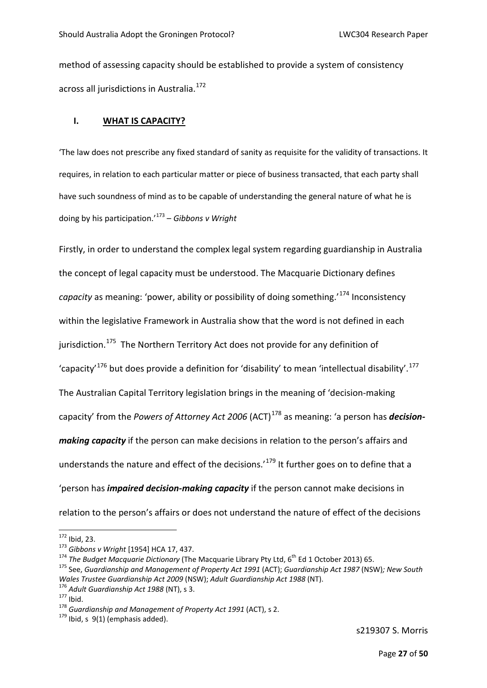method of assessing capacity should be established to provide a system of consistency across all jurisdictions in Australia.<sup>172</sup>

#### **I. WHAT IS CAPACITY?**

'The law does not prescribe any fixed standard of sanity as requisite for the validity of transactions. It requires, in relation to each particular matter or piece of business transacted, that each party shall have such soundness of mind as to be capable of understanding the general nature of what he is doing by his participation.'[173](#page-24-1) – *Gibbons v Wright*

Firstly, in order to understand the complex legal system regarding guardianship in Australia the concept of legal capacity must be understood. The Macquarie Dictionary defines *capacity* as meaning: 'power, ability or possibility of doing something.'[174](#page-24-2) Inconsistency within the legislative Framework in Australia show that the word is not defined in each jurisdiction.<sup>[175](#page-24-3)</sup> The Northern Territory Act does not provide for any definition of 'capacity<sup>'[176](#page-24-4)</sup> but does provide a definition for 'disability' to mean 'intellectual disability'.<sup>[177](#page-24-5)</sup> The Australian Capital Territory legislation brings in the meaning of 'decision-making capacity' from the *Powers of Attorney Act 2006* (ACT)[178](#page-24-6) as meaning: 'a person has *decisionmaking capacity* if the person can make decisions in relation to the person's affairs and understands the nature and effect of the decisions.<sup>'[179](#page-24-7)</sup> It further goes on to define that a 'person has *impaired decision-making capacity* if the person cannot make decisions in relation to the person's affairs or does not understand the nature of effect of the decisions

<span id="page-24-3"></span><span id="page-24-2"></span>

<span id="page-24-1"></span><span id="page-24-0"></span><sup>&</sup>lt;sup>172</sup> Ibid, 23.<br><sup>173</sup> Gibbons v Wright [1954] HCA 17, 437.<br><sup>174</sup> The Budget Macquarie Dictionary (The Macquarie Library Pty Ltd, 6<sup>th</sup> Ed 1 October 2013) 65.<br><sup>175</sup> See, Guardianship and Management of Property Act 1991 (ACT Wales Trustee Guardianship Act 2009 (NSW); Adult Guardianship Act 1988 (NT).<br><sup>176</sup> Adult Guardianship Act 1988 (NT), s 3.<br><sup>177</sup> Ibid.<br><sup>178</sup> Guardianship and Management of Property Act 1991 (ACT), s 2.<br><sup>179</sup> Ibid. s 9(1) (e

<span id="page-24-4"></span>

<span id="page-24-5"></span>

<span id="page-24-7"></span><span id="page-24-6"></span>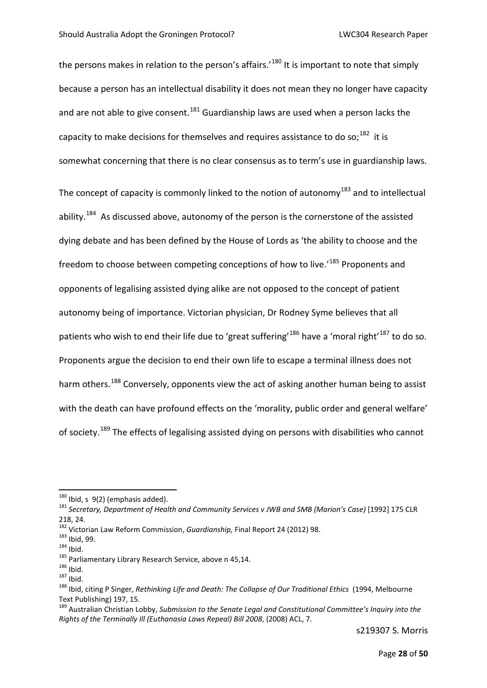the persons makes in relation to the person's affairs.'<sup>[180](#page-25-0)</sup> It is important to note that simply because a person has an intellectual disability it does not mean they no longer have capacity and are not able to give consent.<sup>[181](#page-25-1)</sup> Guardianship laws are used when a person lacks the capacity to make decisions for themselves and requires assistance to do so;<sup>182</sup> it is somewhat concerning that there is no clear consensus as to term's use in guardianship laws.

The concept of capacity is commonly linked to the notion of autonomy<sup>[183](#page-25-3)</sup> and to intellectual ability.<sup>184</sup> As discussed above, autonomy of the person is the cornerstone of the assisted dying debate and has been defined by the House of Lords as 'the ability to choose and the freedom to choose between competing conceptions of how to live.<sup>'[185](#page-25-5)</sup> Proponents and opponents of legalising assisted dying alike are not opposed to the concept of patient autonomy being of importance. Victorian physician, Dr Rodney Syme believes that all patients who wish to end their life due to 'great suffering'<sup>[186](#page-25-6)</sup> have a 'moral right'<sup>[187](#page-25-7)</sup> to do so. Proponents argue the decision to end their own life to escape a terminal illness does not harm others.<sup>[188](#page-25-8)</sup> Conversely, opponents view the act of asking another human being to assist with the death can have profound effects on the 'morality, public order and general welfare' of society.<sup>[189](#page-25-9)</sup> The effects of legalising assisted dying on persons with disabilities who cannot

<span id="page-25-1"></span><span id="page-25-0"></span><sup>180</sup> Ibid, s 9(2) (emphasis added).<br><sup>181</sup> Secretary, Department of Health and Community Services v JWB and SMB (Marion's Case) [1992] 175 CLR 218, 24.<br><sup>182</sup> Victorian Law Reform Commission, *Guardianship*, Final Report 24 (2012) 98.

<span id="page-25-4"></span>

<span id="page-25-5"></span>

<span id="page-25-7"></span><span id="page-25-6"></span>

<span id="page-25-8"></span>

<span id="page-25-3"></span><span id="page-25-2"></span><sup>&</sup>lt;sup>183</sup> lbid, 99.<br>
<sup>184</sup> lbid.<br>
<sup>185</sup> Parliamentary Library Research Service, above n 45,14.<br>
<sup>186</sup> lbid.<br>
<sup>187</sup> lbid.<br>
<sup>187</sup> lbid.<br>
<sup>187</sup> lbid.<br>
<sup>188</sup> lbid. citing P Singer, *Rethinking Life and Death: The Collapse of Our T* Text Publishing) 197, 15.

<span id="page-25-9"></span><sup>189</sup> Australian Christian Lobby, *Submission to the Senate Legal and Constitutional Committee's Inquiry into the Rights of the Terminally Ill (Euthanasia Laws Repeal) Bill 2008*, (2008) ACL, 7.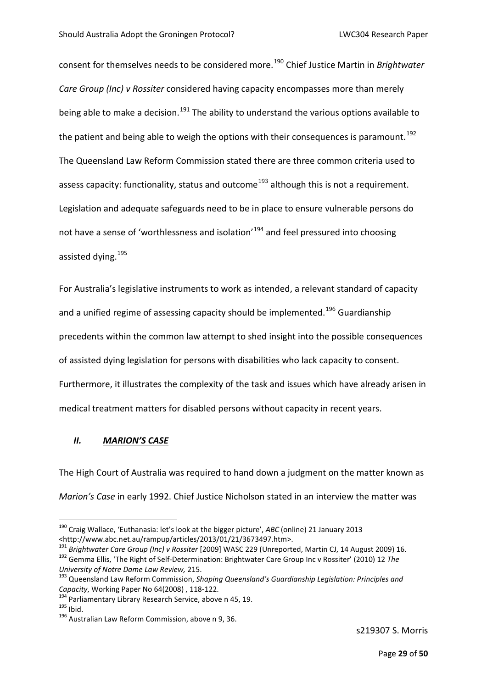consent for themselves needs to be considered more.[190](#page-26-0) Chief Justice Martin in *Brightwater Care Group (Inc) v Rossiter* considered having capacity encompasses more than merely being able to make a decision.<sup>[191](#page-26-1)</sup> The ability to understand the various options available to the patient and being able to weigh the options with their consequences is paramount.<sup>[192](#page-26-2)</sup> The Queensland Law Reform Commission stated there are three common criteria used to assess capacity: functionality, status and outcome<sup>[193](#page-26-3)</sup> although this is not a requirement. Legislation and adequate safeguards need to be in place to ensure vulnerable persons do not have a sense of 'worthlessness and isolation'<sup>[194](#page-26-4)</sup> and feel pressured into choosing assisted dying.<sup>[195](#page-26-5)</sup>

For Australia's legislative instruments to work as intended, a relevant standard of capacity and a unified regime of assessing capacity should be implemented.<sup>[196](#page-26-6)</sup> Guardianship precedents within the common law attempt to shed insight into the possible consequences of assisted dying legislation for persons with disabilities who lack capacity to consent. Furthermore, it illustrates the complexity of the task and issues which have already arisen in medical treatment matters for disabled persons without capacity in recent years.

#### *II. MARION'S CASE*

The High Court of Australia was required to hand down a judgment on the matter known as *Marion's Case* in early 1992. Chief Justice Nicholson stated in an interview the matter was

<span id="page-26-0"></span> <sup>190</sup> Craig Wallace, 'Euthanasia: let's look at the bigger picture', *ABC* (online) 21 January 2013 <http://www.abc.net.au/rampup/articles/2013/01/21/3673497.htm>.<br><sup>191</sup> Brightwater Care Group (Inc) v Rossiter [2009] WASC 229 (Unreported, Martin CJ, 14 August 2009) 16.

<span id="page-26-2"></span><span id="page-26-1"></span><sup>191</sup> *Brightwater Care Group (Inc) v Rossiter* [2009] WASC 229 (Unreported, Martin CJ, 14 August 2009) 16. 192 Gemma Ellis, 'The Right of Self-Determination: Brightwater Care Group Inc v Rossiter' (2010) 12 *The* 

<span id="page-26-3"></span>*University of Notre Dame Law Review, 215.*<br><sup>193</sup> Queensland Law Reform Commission, *Shaping Queensland's Guardianship Legislation: Principles and Capacity*, Working Paper No 64(2008), 118-122.<br><sup>194</sup> Parliamentary Library Research Service, above n 45, 19.<br><sup>195</sup> Ibid. <sup>196</sup> Australian Law Reform Commission, above n 9, 36.

<span id="page-26-4"></span>

<span id="page-26-5"></span>

<span id="page-26-6"></span>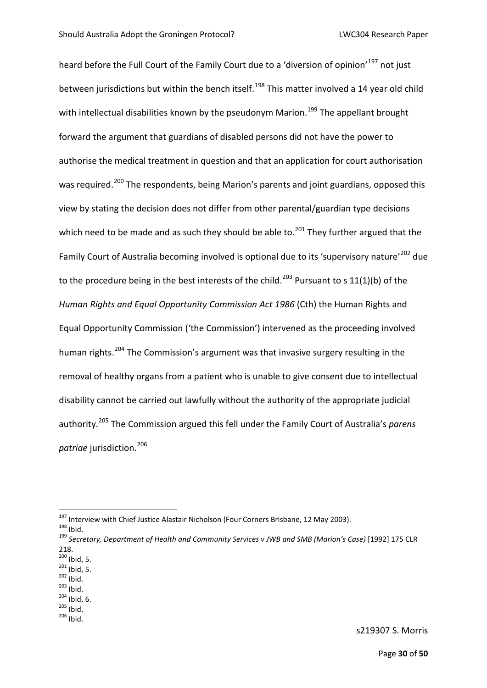heard before the Full Court of the Family Court due to a 'diversion of opinion'<sup>[197](#page-27-0)</sup> not just between jurisdictions but within the bench itself.<sup>[198](#page-27-1)</sup> This matter involved a 14 year old child with intellectual disabilities known by the pseudonym Marion.<sup>[199](#page-27-2)</sup> The appellant brought forward the argument that guardians of disabled persons did not have the power to authorise the medical treatment in question and that an application for court authorisation was required.<sup>[200](#page-27-3)</sup> The respondents, being Marion's parents and joint guardians, opposed this view by stating the decision does not differ from other parental/guardian type decisions which need to be made and as such they should be able to.<sup>[201](#page-27-4)</sup> They further argued that the Family Court of Australia becoming involved is optional due to its 'supervisory nature'<sup>[202](#page-27-5)</sup> due to the procedure being in the best interests of the child.<sup>[203](#page-27-6)</sup> Pursuant to s 11(1)(b) of the *Human Rights and Equal Opportunity Commission Act 1986* (Cth) the Human Rights and Equal Opportunity Commission ('the Commission') intervened as the proceeding involved human rights.<sup>[204](#page-27-7)</sup> The Commission's argument was that invasive surgery resulting in the removal of healthy organs from a patient who is unable to give consent due to intellectual disability cannot be carried out lawfully without the authority of the appropriate judicial authority.[205](#page-27-8) The Commission argued this fell under the Family Court of Australia's *parens patriae* iurisdiction.<sup>[206](#page-27-9)</sup>

<span id="page-27-5"></span>

- <span id="page-27-4"></span><span id="page-27-3"></span>201 Ibid, 5.<br>
<sup>202</sup> Ibid.<br>
<sup>203</sup> Ibid.<br>
<sup>204</sup> Ibid, 6.<br>
<sup>205</sup> Ibid.<br>
<sup>206</sup> Ibid.
- <span id="page-27-9"></span><span id="page-27-8"></span><span id="page-27-7"></span>
- 

<span id="page-27-2"></span>

<span id="page-27-1"></span><span id="page-27-0"></span><sup>&</sup>lt;sup>197</sup> Interview with Chief Justice Alastair Nicholson (Four Corners Brisbane, 12 May 2003).<br><sup>198</sup> Ibid.<br><sup>199</sup> Secretary, Department of Health and Community Services v JWB and SMB (Marion's Case) [1992] 175 CLR  $218.$ <sup>200</sup> Ibid, 5.

<span id="page-27-6"></span>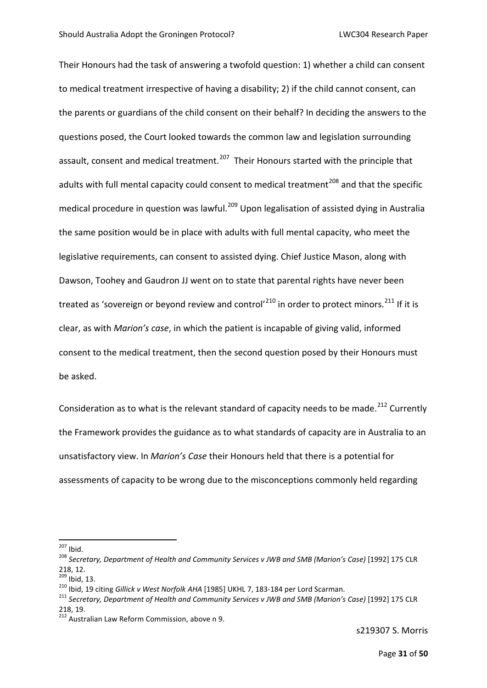Their Honours had the task of answering a twofold question: 1) whether a child can consent to medical treatment irrespective of having a disability; 2) if the child cannot consent, can the parents or guardians of the child consent on their behalf? In deciding the answers to the questions posed, the Court looked towards the common law and legislation surrounding assault, consent and medical treatment.<sup>207</sup> Their Honours started with the principle that adults with full mental capacity could consent to medical treatment<sup>[208](#page-28-1)</sup> and that the specific medical procedure in question was lawful.<sup>[209](#page-28-2)</sup> Upon legalisation of assisted dying in Australia the same position would be in place with adults with full mental capacity, who meet the legislative requirements, can consent to assisted dying. Chief Justice Mason, along with Dawson, Toohey and Gaudron JJ went on to state that parental rights have never been treated as 'sovereign or beyond review and control'<sup>[210](#page-28-3)</sup> in order to protect minors.<sup>[211](#page-28-4)</sup> If it is clear, as with *Marion's case*, in which the patient is incapable of giving valid, informed consent to the medical treatment, then the second question posed by their Honours must be asked.

Consideration as to what is the relevant standard of capacity needs to be made.<sup>[212](#page-28-5)</sup> Currently the Framework provides the guidance as to what standards of capacity are in Australia to an unsatisfactory view. In *Marion's Case* their Honours held that there is a potential for assessments of capacity to be wrong due to the misconceptions commonly held regarding

<span id="page-28-1"></span><span id="page-28-0"></span><sup>&</sup>lt;sup>207</sup> Ibid.<br><sup>208</sup> Secretary, Department of Health and Community Services v JWB and SMB (Marion's Case) [1992] 175 CLR 218, 12.<br> $^{209}$  Ibid, 13.

<span id="page-28-4"></span><span id="page-28-3"></span><span id="page-28-2"></span><sup>&</sup>lt;sup>210</sup> Ibid, 19 citing *Gillick v West Norfolk AHA* [1985] UKHL 7, 183-184 per Lord Scarman.<br><sup>211</sup> Secretary, Department of Health and Community Services v JWB and SMB (Marion's Case) [1992] 175 CLR 218, 19.

<span id="page-28-5"></span><sup>&</sup>lt;sup>212</sup> Australian Law Reform Commission, above n 9.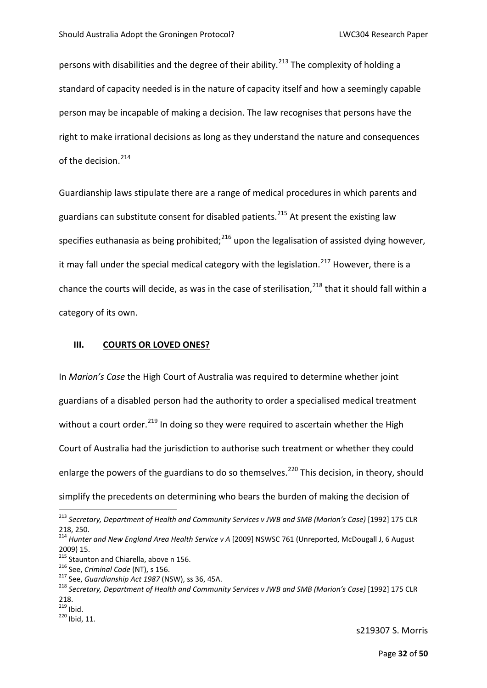persons with disabilities and the degree of their ability.<sup>[213](#page-29-0)</sup> The complexity of holding a standard of capacity needed is in the nature of capacity itself and how a seemingly capable person may be incapable of making a decision. The law recognises that persons have the right to make irrational decisions as long as they understand the nature and consequences of the decision.<sup>[214](#page-29-1)</sup>

Guardianship laws stipulate there are a range of medical procedures in which parents and guardians can substitute consent for disabled patients.<sup>[215](#page-29-2)</sup> At present the existing law specifies euthanasia as being prohibited; $^{216}$  $^{216}$  $^{216}$  upon the legalisation of assisted dying however, it may fall under the special medical category with the legislation.<sup>[217](#page-29-4)</sup> However, there is a chance the courts will decide, as was in the case of sterilisation.<sup>[218](#page-29-5)</sup> that it should fall within a category of its own.

#### **III. COURTS OR LOVED ONES?**

In *Marion's Case* the High Court of Australia was required to determine whether joint guardians of a disabled person had the authority to order a specialised medical treatment without a court order.<sup>[219](#page-29-6)</sup> In doing so they were required to ascertain whether the High Court of Australia had the jurisdiction to authorise such treatment or whether they could enlarge the powers of the guardians to do so themselves.<sup>[220](#page-29-7)</sup> This decision, in theory, should simplify the precedents on determining who bears the burden of making the decision of

<span id="page-29-0"></span> <sup>213</sup> *Secretary, Department of Health and Community Services v JWB and SMB (Marion's Case)* [1992] 175 CLR 218, 250.

<span id="page-29-1"></span><sup>214</sup> *Hunter and New England Area Health Service v A* [2009] NSWSC 761 (Unreported, McDougall J, 6 August 2009) 15.<br><sup>215</sup> Staunton and Chiarella, above n 156.

<span id="page-29-5"></span><span id="page-29-4"></span>

<span id="page-29-3"></span><span id="page-29-2"></span><sup>&</sup>lt;sup>216</sup> See, Criminal Code (NT), s 156.<br><sup>217</sup> See, Guardianship Act 1987 (NSW), ss 36, 45A.<br><sup>218</sup> Secretary, Department of Health and Community Services v JWB and SMB (Marion's Case) [1992] 175 CLR  $^{218.}_{^{219}}$  Ibid.

<span id="page-29-7"></span><span id="page-29-6"></span> $^{11111}$ .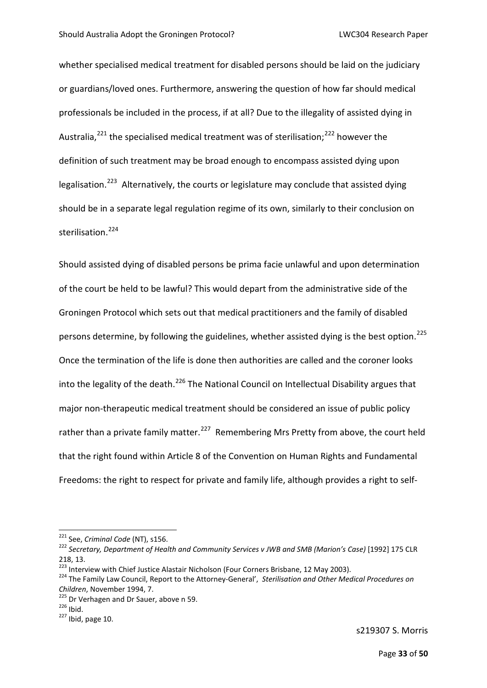whether specialised medical treatment for disabled persons should be laid on the judiciary or guardians/loved ones. Furthermore, answering the question of how far should medical professionals be included in the process, if at all? Due to the illegality of assisted dying in Australia,  $221$  the specialised medical treatment was of sterilisation:  $222$  however the definition of such treatment may be broad enough to encompass assisted dying upon legalisation.<sup>[223](#page-30-2)</sup> Alternatively, the courts or legislature may conclude that assisted dying should be in a separate legal regulation regime of its own, similarly to their conclusion on sterilisation.<sup>[224](#page-30-3)</sup>

Should assisted dying of disabled persons be prima facie unlawful and upon determination of the court be held to be lawful? This would depart from the administrative side of the Groningen Protocol which sets out that medical practitioners and the family of disabled persons determine, by following the guidelines, whether assisted dying is the best option.<sup>[225](#page-30-4)</sup> Once the termination of the life is done then authorities are called and the coroner looks into the legality of the death.<sup>[226](#page-30-5)</sup> The National Council on Intellectual Disability argues that major non-therapeutic medical treatment should be considered an issue of public policy rather than a private family matter.<sup>227</sup> Remembering Mrs Pretty from above, the court held that the right found within Article 8 of the Convention on Human Rights and Fundamental Freedoms: the right to respect for private and family life, although provides a right to self-

<span id="page-30-1"></span><span id="page-30-0"></span><sup>&</sup>lt;sup>221</sup> See, Criminal Code (NT), s156.<br><sup>222</sup> Secretary, Department of Health and Community Services v JWB and SMB (Marion's Case) [1992] 175 CLR 218, 13.<br><sup>223</sup> Interview with Chief Justice Alastair Nicholson (Four Corners Brisbane, 12 May 2003).

<span id="page-30-3"></span><span id="page-30-2"></span><sup>&</sup>lt;sup>224</sup> The Family Law Council, Report to the Attorney-General', *Sterilisation and Other Medical Procedures on Children*, November 1994, 7.<br><sup>225</sup> Dr Verhagen and Dr Sauer, above n 59.<br><sup>226</sup> Ibid. page 10.

<span id="page-30-4"></span>

<span id="page-30-5"></span>

<span id="page-30-6"></span>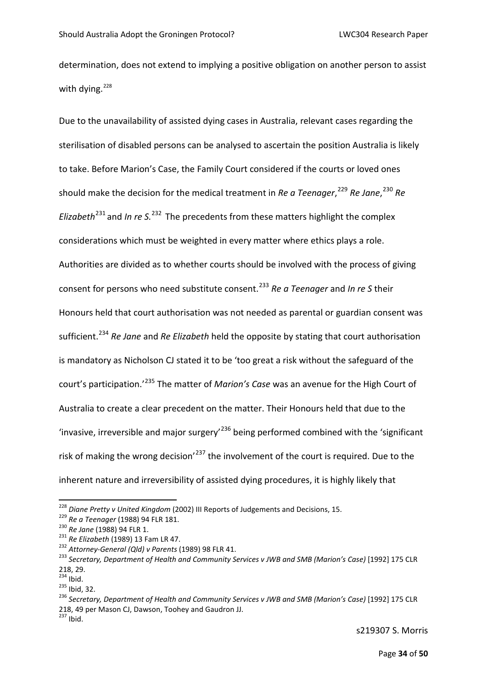determination, does not extend to implying a positive obligation on another person to assist with dving. $228$ 

Due to the unavailability of assisted dying cases in Australia, relevant cases regarding the sterilisation of disabled persons can be analysed to ascertain the position Australia is likely to take. Before Marion's Case, the Family Court considered if the courts or loved ones should make the decision for the medical treatment in *Re a Teenager*,<sup>[229](#page-31-1)</sup> *Re Jane*,<sup>[230](#page-31-2)</sup> *Re Elizabeth*[231](#page-31-3) and *In re S.*[232](#page-31-4) The precedents from these matters highlight the complex considerations which must be weighted in every matter where ethics plays a role. Authorities are divided as to whether courts should be involved with the process of giving consent for persons who need substitute consent. [233](#page-31-5) *Re a Teenager* and *In re S* their Honours held that court authorisation was not needed as parental or guardian consent was sufficient.[234](#page-31-6) *Re Jane* and *Re Elizabeth* held the opposite by stating that court authorisation is mandatory as Nicholson CJ stated it to be 'too great a risk without the safeguard of the court's participation.'[235](#page-31-7) The matter of *Marion's Case* was an avenue for the High Court of Australia to create a clear precedent on the matter. Their Honours held that due to the 'invasive, irreversible and major surgery'[236](#page-31-8) being performed combined with the 'significant risk of making the wrong decision<sup>'[237](#page-31-9)</sup> the involvement of the court is required. Due to the inherent nature and irreversibility of assisted dying procedures, it is highly likely that

<span id="page-31-2"></span>

<span id="page-31-3"></span>

<span id="page-31-5"></span><span id="page-31-4"></span>

<span id="page-31-1"></span><span id="page-31-0"></span><sup>&</sup>lt;sup>228</sup> Diane Pretty v United Kingdom (2002) III Reports of Judgements and Decisions, 15.<br><sup>229</sup> Re a Teenager (1988) 94 FLR 181.<br><sup>230</sup> Re Jane (1988) 94 FLR 1.<br><sup>231</sup> Re Elizabeth (1989) 13 Fam LR 47.<br><sup>232</sup> Attorney-General  $218, 29.$ <sup>234</sup> Ibid.

<span id="page-31-9"></span><span id="page-31-8"></span>

<span id="page-31-7"></span><span id="page-31-6"></span><sup>&</sup>lt;sup>235</sup> Ibid, 32.<br><sup>235</sup> Secretary, Department of Health and Community Services v JWB and SMB (Marion's Case) [1992] 175 CLR 218, 49 per Mason CJ, Dawson, Toohey and Gaudron JJ.  $237$  Ibid.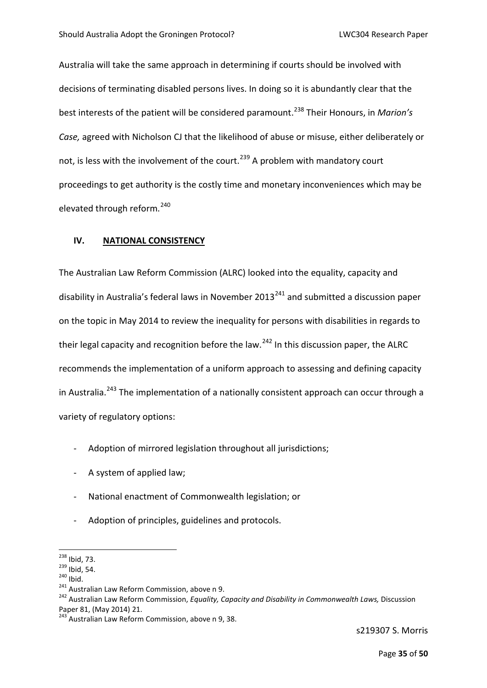Australia will take the same approach in determining if courts should be involved with decisions of terminating disabled persons lives. In doing so it is abundantly clear that the best interests of the patient will be considered paramount.[238](#page-32-0) Their Honours, in *Marion's Case,* agreed with Nicholson CJ that the likelihood of abuse or misuse, either deliberately or not, is less with the involvement of the court.<sup>[239](#page-32-1)</sup> A problem with mandatory court proceedings to get authority is the costly time and monetary inconveniences which may be elevated through reform.<sup>[240](#page-32-2)</sup>

#### **IV. NATIONAL CONSISTENCY**

The Australian Law Reform Commission (ALRC) looked into the equality, capacity and disability in Australia's federal laws in November  $2013^{241}$  $2013^{241}$  $2013^{241}$  and submitted a discussion paper on the topic in May 2014 to review the inequality for persons with disabilities in regards to their legal capacity and recognition before the law.<sup>[242](#page-32-4)</sup> In this discussion paper, the ALRC recommends the implementation of a uniform approach to assessing and defining capacity in Australia.<sup>[243](#page-32-5)</sup> The implementation of a nationally consistent approach can occur through a variety of regulatory options:

- Adoption of mirrored legislation throughout all jurisdictions;
- A system of applied law;
- National enactment of Commonwealth legislation; or
- Adoption of principles, guidelines and protocols.

<span id="page-32-2"></span>

<span id="page-32-4"></span><span id="page-32-3"></span>

<span id="page-32-1"></span><span id="page-32-0"></span><sup>&</sup>lt;sup>238</sup> Ibid, 73.<br><sup>239</sup> Ibid, 54.<br><sup>240</sup> Ibid.<br><sup>241</sup> Australian Law Reform Commission, *Equality, Capacity and Disability in Commonwealth Laws, Discussion* Paper 81, (May 2014) 21.

<span id="page-32-5"></span> $243$  Australian Law Reform Commission, above n 9, 38.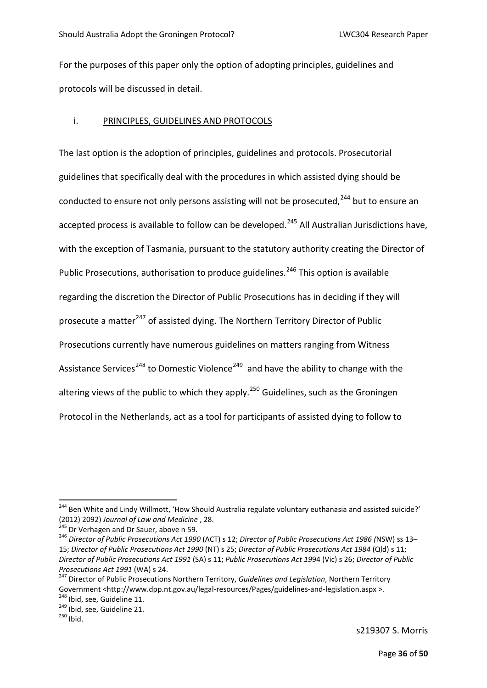For the purposes of this paper only the option of adopting principles, guidelines and protocols will be discussed in detail.

#### i. PRINCIPLES, GUIDELINES AND PROTOCOLS

The last option is the adoption of principles, guidelines and protocols. Prosecutorial guidelines that specifically deal with the procedures in which assisted dying should be conducted to ensure not only persons assisting will not be prosecuted,  $244$  but to ensure an accepted process is available to follow can be developed.<sup>[245](#page-33-1)</sup> All Australian Jurisdictions have, with the exception of Tasmania, pursuant to the statutory authority creating the Director of Public Prosecutions, authorisation to produce guidelines.<sup>[246](#page-33-2)</sup> This option is available regarding the discretion the Director of Public Prosecutions has in deciding if they will prosecute a matter<sup>[247](#page-33-3)</sup> of assisted dying. The Northern Territory Director of Public Prosecutions currently have numerous guidelines on matters ranging from Witness Assistance Services<sup>[248](#page-33-4)</sup> to Domestic Violence<sup>[249](#page-33-5)</sup> and have the ability to change with the altering views of the public to which they apply.<sup>[250](#page-33-6)</sup> Guidelines, such as the Groningen Protocol in the Netherlands, act as a tool for participants of assisted dying to follow to

<span id="page-33-0"></span><sup>&</sup>lt;sup>244</sup> Ben White and Lindy Willmott, 'How Should Australia regulate voluntary euthanasia and assisted suicide?'<br>(2012) 2092) Journal of Law and Medicine, 28.

<span id="page-33-2"></span><span id="page-33-1"></span><sup>&</sup>lt;sup>245</sup> Dr Verhagen and Dr Sauer, above n 59.<br><sup>246</sup> Director of Public Prosecutions Act 1990 (ACT) s 12; *Director of Public Prosecutions Act 1986 (*NSW) ss 13– 15; *Director of Public Prosecutions Act 1990* (NT) s 25; *Director of Public Prosecutions Act 1984* (Qld) s 11; *Director of Public Prosecutions Act 1991* (SA) s 11; *Public Prosecutions Act 19*94 (Vic) s 26; *Director of Public Prosecutions Act 1991* (WA) s 24.<br><sup>247</sup> Director of Public Prosecutions Northern Territory, *Guidelines and Legislation*, Northern Territory

<span id="page-33-3"></span>Government <http://www.dpp.nt.gov.au/legal-resources/Pages/guidelines-and-legislation.aspx [>](http://www.dpp.nt.gov.au/legal-resources/Pages/guidelines-and-legislation.aspx).<br><sup>248</sup> Ibid, see, Guideline 11.<br><sup>249</sup> Ibid, see, Guideline 21.<br><sup>250</sup> Ibid.

<span id="page-33-5"></span><span id="page-33-4"></span>

<span id="page-33-6"></span>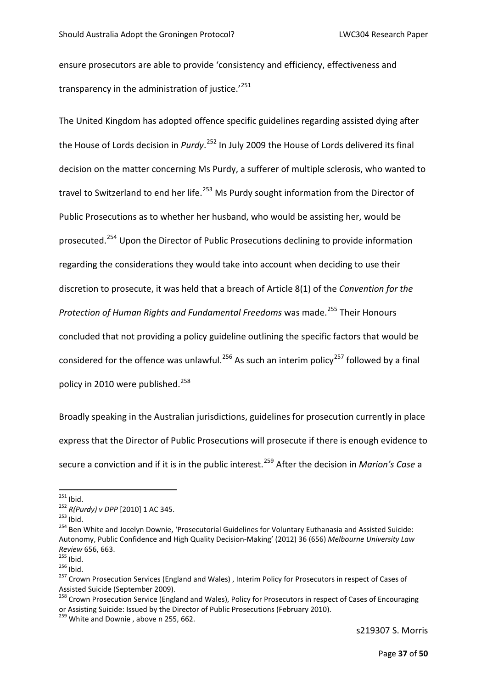ensure prosecutors are able to provide 'consistency and efficiency, effectiveness and transparency in the administration of justice.<sup>'[251](#page-34-0)</sup>

The United Kingdom has adopted offence specific guidelines regarding assisted dying after the House of Lords decision in *Purdy*. [252](#page-34-1) In July 2009 the House of Lords delivered its final decision on the matter concerning Ms Purdy, a sufferer of multiple sclerosis, who wanted to travel to Switzerland to end her life.<sup>[253](#page-34-2)</sup> Ms Purdy sought information from the Director of Public Prosecutions as to whether her husband, who would be assisting her, would be prosecuted.[254](#page-34-3) Upon the Director of Public Prosecutions declining to provide information regarding the considerations they would take into account when deciding to use their discretion to prosecute, it was held that a breach of Article 8(1) of the *Convention for the Protection of Human Rights and Fundamental Freedoms was made.*<sup>[255](#page-34-4)</sup> Their Honours concluded that not providing a policy guideline outlining the specific factors that would be considered for the offence was unlawful.<sup>[256](#page-34-5)</sup> As such an interim policy<sup>[257](#page-34-6)</sup> followed by a final policy in 2010 were published.<sup>[258](#page-34-7)</sup>

Broadly speaking in the Australian jurisdictions, guidelines for prosecution currently in place express that the Director of Public Prosecutions will prosecute if there is enough evidence to secure a conviction and if it is in the public interest.[259](#page-34-8) After the decision in *Marion's Case* a

<span id="page-34-2"></span><span id="page-34-1"></span>

<span id="page-34-3"></span>

<span id="page-34-0"></span><sup>&</sup>lt;sup>251</sup> Ibid.<br><sup>252</sup> *R(Purdy) v DPP* [2010] 1 AC 345.<br><sup>253</sup> Ibid.<br><sup>254</sup> Ben White and Jocelyn Downie, 'Prosecutorial Guidelines for Voluntary Euthanasia and Assisted Suicide: Autonomy, Public Confidence and High Quality Decision-Making' (2012) 36 (656) *Melbourne University Law Review* 656, 663.<br><sup>255</sup> Ibid.<br><sup>256</sup> Ibid.<br><sup>257</sup> Crown Prosecution Services (England and Wales) , Interim Policy for Prosecutors in respect of Cases of

<span id="page-34-4"></span>

<span id="page-34-5"></span>

<span id="page-34-6"></span>Assisted Suicide (September 2009).

<span id="page-34-7"></span><sup>&</sup>lt;sup>258</sup> Crown Prosecution Service (England and Wales), Policy for Prosecutors in respect of Cases of Encouraging or Assisting Suicide: Issued by the Director of Public Prosecutions (February 2010). 259 White and Downie , above n 255, 662.

<span id="page-34-8"></span>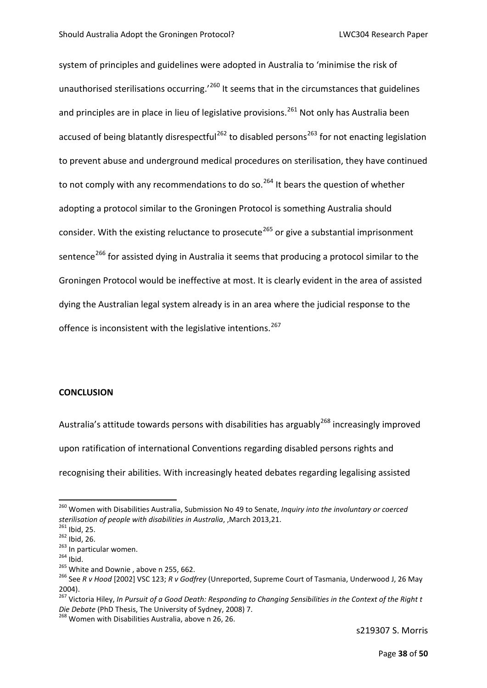system of principles and guidelines were adopted in Australia to 'minimise the risk of unauthorised sterilisations occurring.<sup>'[260](#page-35-0)</sup> It seems that in the circumstances that guidelines and principles are in place in lieu of legislative provisions.<sup>[261](#page-35-1)</sup> Not only has Australia been accused of being blatantly disrespectful<sup>[262](#page-35-2)</sup> to disabled persons<sup>[263](#page-35-3)</sup> for not enacting legislation to prevent abuse and underground medical procedures on sterilisation, they have continued to not comply with any recommendations to do so.<sup>[264](#page-35-4)</sup> It bears the question of whether adopting a protocol similar to the Groningen Protocol is something Australia should consider. With the existing reluctance to prosecute<sup>[265](#page-35-5)</sup> or give a substantial imprisonment sentence<sup>[266](#page-35-6)</sup> for assisted dying in Australia it seems that producing a protocol similar to the Groningen Protocol would be ineffective at most. It is clearly evident in the area of assisted dying the Australian legal system already is in an area where the judicial response to the offence is inconsistent with the legislative intentions.<sup>[267](#page-35-7)</sup>

#### **CONCLUSION**

Australia's attitude towards persons with disabilities has arguably<sup>[268](#page-35-8)</sup> increasingly improved upon ratification of international Conventions regarding disabled persons rights and recognising their abilities. With increasingly heated debates regarding legalising assisted

<span id="page-35-0"></span><sup>&</sup>lt;sup>260</sup> Women with Disabilities Australia, Submission No 49 to Senate, *Inquiry into the involuntary or coerced sterilisation of people with disabilities in Australia*, March 2013,21.

<span id="page-35-3"></span>

<span id="page-35-4"></span>

<span id="page-35-6"></span><span id="page-35-5"></span>

<span id="page-35-2"></span><span id="page-35-1"></span><sup>&</sup>lt;sup>261</sup> Ibid, 25.<br><sup>262</sup> Ibid, 26.<br><sup>263</sup> In particular women.<br><sup>264</sup> Ibid.<br><sup>265</sup> White and Downie , above n 255, 662.<br><sup>265</sup> See R v Hood [2002] VSC 123; R v Godfrey (Unreported, Supreme Court of Tasmania, Underwood J, 26 May 2004).

<span id="page-35-7"></span><sup>&</sup>lt;sup>267</sup> Victoria Hiley, *In Pursuit of a Good Death: Responding to Changing Sensibilities in the Context of the Right t<br>Die Debate (PhD Thesis, The University of Sydney, 2008) 7.* 

<span id="page-35-8"></span><sup>&</sup>lt;sup>268</sup> Women with Disabilities Australia, above n 26, 26.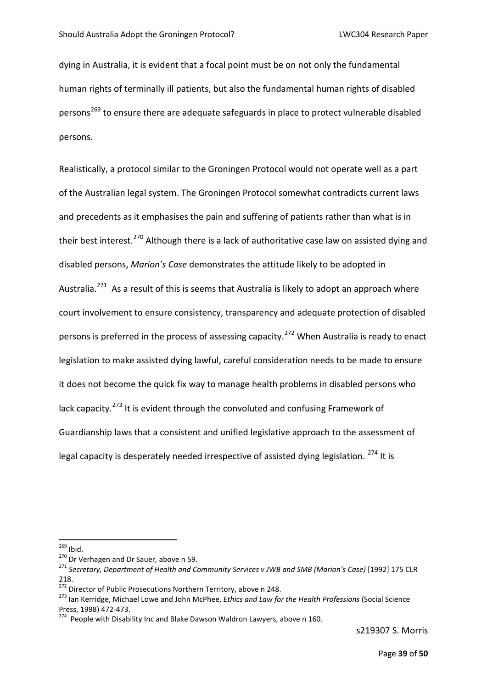dying in Australia, it is evident that a focal point must be on not only the fundamental human rights of terminally ill patients, but also the fundamental human rights of disabled persons<sup>[269](#page-36-0)</sup> to ensure there are adequate safeguards in place to protect vulnerable disabled persons.

Realistically, a protocol similar to the Groningen Protocol would not operate well as a part of the Australian legal system. The Groningen Protocol somewhat contradicts current laws and precedents as it emphasises the pain and suffering of patients rather than what is in their best interest.<sup>[270](#page-36-1)</sup> Although there is a lack of authoritative case law on assisted dying and disabled persons, *Marion's Case* demonstrates the attitude likely to be adopted in Australia.<sup>271</sup> As a result of this is seems that Australia is likely to adopt an approach where court involvement to ensure consistency, transparency and adequate protection of disabled persons is preferred in the process of assessing capacity.<sup>[272](#page-36-3)</sup> When Australia is ready to enact legislation to make assisted dying lawful, careful consideration needs to be made to ensure it does not become the quick fix way to manage health problems in disabled persons who lack capacity.<sup>[273](#page-36-4)</sup> It is evident through the convoluted and confusing Framework of Guardianship laws that a consistent and unified legislative approach to the assessment of legal capacity is desperately needed irrespective of assisted dying legislation.  $274$  It is

<span id="page-36-2"></span><span id="page-36-1"></span>

<span id="page-36-0"></span><sup>&</sup>lt;sup>269</sup> Ibid.<br><sup>270</sup> Dr Verhagen and Dr Sauer, above n 59.<br><sup>271</sup> Secretary, Department of Health and Community Services v JWB and SMB (Marion's Case) [1992] 175 CLR 218.

<span id="page-36-4"></span><span id="page-36-3"></span><sup>&</sup>lt;sup>272</sup> Director of Public Prosecutions Northern Territory, above n 248.<br><sup>273</sup> Ian Kerridge, Michael Lowe and John McPhee, *Ethics and Law for the Health Professions* (Social Science Press, 1998) 472-473.<br><sup>274</sup> People with Disability Inc and Blake Dawson Waldron Lawyers, above n 160.

<span id="page-36-5"></span>

s219307 S. Morris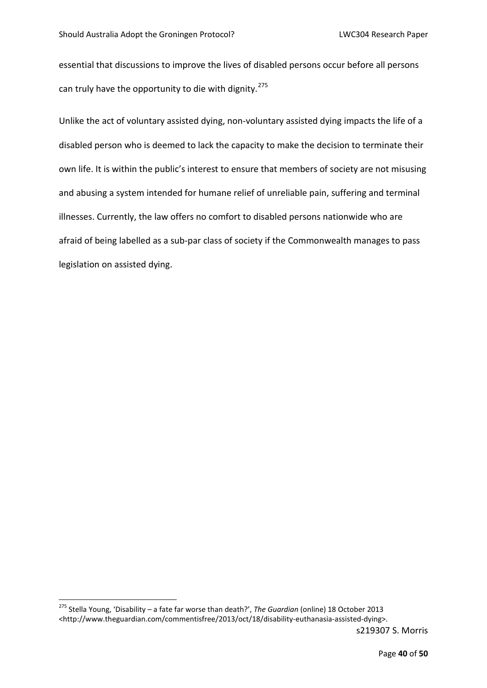essential that discussions to improve the lives of disabled persons occur before all persons can truly have the opportunity to die with dignity.<sup>[275](#page-37-0)</sup>

Unlike the act of voluntary assisted dying, non-voluntary assisted dying impacts the life of a disabled person who is deemed to lack the capacity to make the decision to terminate their own life. It is within the public's interest to ensure that members of society are not misusing and abusing a system intended for humane relief of unreliable pain, suffering and terminal illnesses. Currently, the law offers no comfort to disabled persons nationwide who are afraid of being labelled as a sub-par class of society if the Commonwealth manages to pass legislation on assisted dying.

<span id="page-37-0"></span> <sup>275</sup> Stella Young, 'Disability – a fate far worse than death?', *The Guardian* (online) 18 October 2013 [<http://www.theguardian.com/commentisfree/2013/oct/18/disability-euthanasia-assisted-dying>](http://www.theguardian.com/commentisfree/2013/oct/18/disability-euthanasia-assisted-dying).

s219307 S. Morris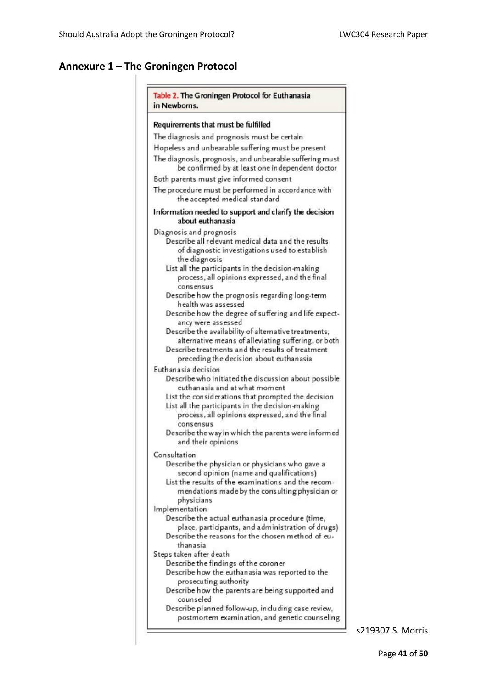### **Annexure 1 – The Groningen Protocol**

| Table 2. The Groningen Protocol for Euthanasia<br>in Newborns.                                                                                                  |  |  |  |  |
|-----------------------------------------------------------------------------------------------------------------------------------------------------------------|--|--|--|--|
| Requirements that must be fulfilled                                                                                                                             |  |  |  |  |
| The diagnosis and prognosis must be certain                                                                                                                     |  |  |  |  |
| Hopeless and unbearable suffering must be present                                                                                                               |  |  |  |  |
| The diagnosis, prognosis, and unbearable suffering must                                                                                                         |  |  |  |  |
| be confirmed by at least one independent doctor                                                                                                                 |  |  |  |  |
| Both parents must give informed consent                                                                                                                         |  |  |  |  |
| The procedure must be performed in accordance with<br>the accepted medical standard                                                                             |  |  |  |  |
| Information needed to support and clarify the decision<br>about euthanasia                                                                                      |  |  |  |  |
| Diagnosis and prognosis                                                                                                                                         |  |  |  |  |
| Describe all relevant medical data and the results<br>of diagnostic investigations used to establish<br>the diagnosis                                           |  |  |  |  |
| List all the participants in the decision-making                                                                                                                |  |  |  |  |
| process, all opinions expressed, and the final<br>consensus                                                                                                     |  |  |  |  |
| Describe how the prognosis regarding long-term<br>health was assessed                                                                                           |  |  |  |  |
| Describe how the degree of suffering and life expect-<br>ancy were assessed                                                                                     |  |  |  |  |
| Describe the availability of alternative treatments,<br>alternative means of alleviating suffering, or both<br>Describe treatments and the results of treatment |  |  |  |  |
| preceding the decision about euthanasia                                                                                                                         |  |  |  |  |
| Euthanasia decision<br>Describe who initiated the discussion about possible<br>euthanasia and at what moment                                                    |  |  |  |  |
| List the considerations that prompted the decision<br>List all the participants in the decision-making<br>process, all opinions expressed, and the final        |  |  |  |  |
| consensus                                                                                                                                                       |  |  |  |  |
| Describe the way in which the parents were informed<br>and their opinions                                                                                       |  |  |  |  |
| Consultation                                                                                                                                                    |  |  |  |  |
| Describe the physician or physicians who gave a<br>second opinion (name and qualifications)                                                                     |  |  |  |  |
| List the results of the examinations and the recom-<br>mendations made by the consulting physician or<br>physicians                                             |  |  |  |  |
| Implementation                                                                                                                                                  |  |  |  |  |
| Describe the actual euthanasia procedure (time,                                                                                                                 |  |  |  |  |
| place, participants, and administration of drugs)<br>Describe the reasons for the chosen method of eu-                                                          |  |  |  |  |
| thanasia<br>Steps taken after death                                                                                                                             |  |  |  |  |
| Describe the findings of the coroner                                                                                                                            |  |  |  |  |
| Describe how the euthanasia was reported to the                                                                                                                 |  |  |  |  |
| prosecuting authority                                                                                                                                           |  |  |  |  |
| Describe how the parents are being supported and<br>counseled                                                                                                   |  |  |  |  |
| Describe planned follow-up, including case review,<br>postmortem examination, and genetic counseling                                                            |  |  |  |  |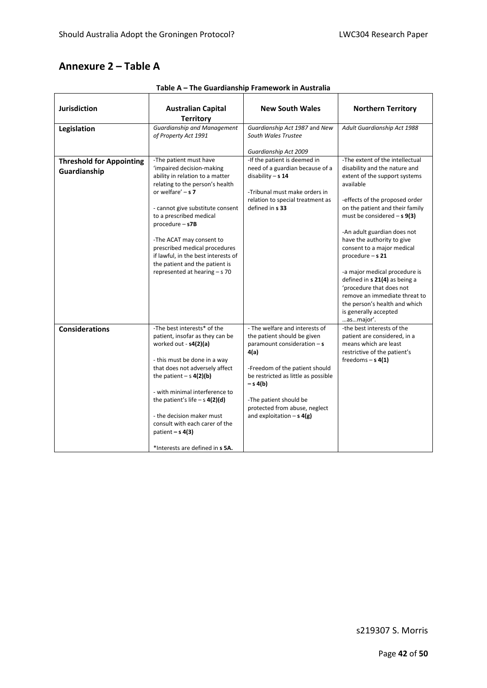#### **Annexure 2 – Table A**

| <b>Jurisdiction</b>                             | <b>Australian Capital</b><br><b>Territory</b>                                                                                                                                                                                                                                                                                                                                                                | <b>New South Wales</b>                                                                                                                                                                                                                                                                | <b>Northern Territory</b>                                                                                                                                                                                                                                                                                                                                                                                                                                                                                                      |
|-------------------------------------------------|--------------------------------------------------------------------------------------------------------------------------------------------------------------------------------------------------------------------------------------------------------------------------------------------------------------------------------------------------------------------------------------------------------------|---------------------------------------------------------------------------------------------------------------------------------------------------------------------------------------------------------------------------------------------------------------------------------------|--------------------------------------------------------------------------------------------------------------------------------------------------------------------------------------------------------------------------------------------------------------------------------------------------------------------------------------------------------------------------------------------------------------------------------------------------------------------------------------------------------------------------------|
| Legislation                                     | <b>Guardianship and Management</b><br>of Property Act 1991                                                                                                                                                                                                                                                                                                                                                   | Guardianship Act 1987 and New<br>South Wales Trustee                                                                                                                                                                                                                                  | Adult Guardianship Act 1988                                                                                                                                                                                                                                                                                                                                                                                                                                                                                                    |
|                                                 |                                                                                                                                                                                                                                                                                                                                                                                                              | Guardianship Act 2009                                                                                                                                                                                                                                                                 |                                                                                                                                                                                                                                                                                                                                                                                                                                                                                                                                |
| <b>Threshold for Appointing</b><br>Guardianship | -The patient must have<br>'impaired decision-making<br>ability in relation to a matter<br>relating to the person's health<br>or welfare' $- s 7 $<br>- cannot give substitute consent<br>to a prescribed medical<br>$procedure - s7B$<br>-The ACAT may consent to<br>prescribed medical procedures<br>if lawful, in the best interests of<br>the patient and the patient is<br>represented at hearing - s 70 | -If the patient is deemed in<br>need of a guardian because of a<br>disability $- s 14$<br>-Tribunal must make orders in<br>relation to special treatment as<br>defined in s 33                                                                                                        | -The extent of the intellectual<br>disability and the nature and<br>extent of the support systems<br>available<br>-effects of the proposed order<br>on the patient and their family<br>must be considered $- s 9(3)$<br>-An adult guardian does not<br>have the authority to give<br>consent to a major medical<br>procedure $- s 21$<br>-a major medical procedure is<br>defined in s 21(4) as being a<br>'procedure that does not<br>remove an immediate threat to<br>the person's health and which<br>is generally accepted |
| <b>Considerations</b>                           | -The best interests* of the<br>patient, insofar as they can be<br>worked out - s4(2)(a)<br>- this must be done in a way<br>that does not adversely affect<br>the patient $- s 4(2)(b)$<br>- with minimal interference to<br>the patient's life $-$ s $4(2)(d)$<br>- the decision maker must<br>consult with each carer of the<br>patient $- s 4(3)$<br>*Interests are defined in s 5A.                       | - The welfare and interests of<br>the patient should be given<br>paramount consideration $-$ s<br>4(a)<br>-Freedom of the patient should<br>be restricted as little as possible<br>– s 4(b)<br>-The patient should be<br>protected from abuse, neglect<br>and exploitation $- s 4(g)$ | asmajor'.<br>-the best interests of the<br>patient are considered, in a<br>means which are least<br>restrictive of the patient's<br>freedoms $-$ s 4(1)                                                                                                                                                                                                                                                                                                                                                                        |

**Table A – The Guardianship Framework in Australia**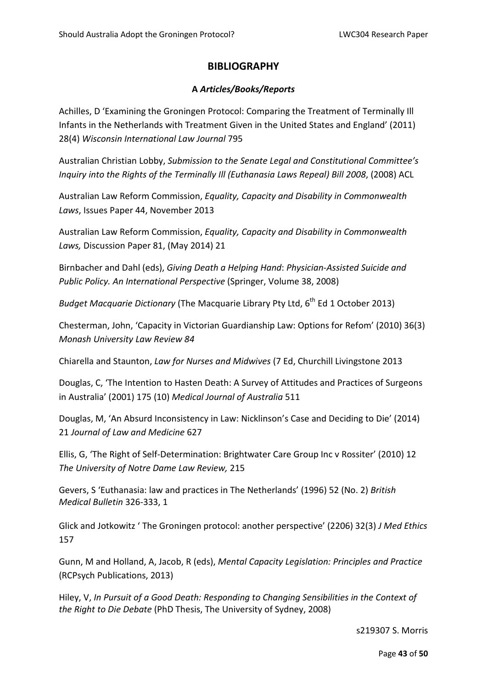#### **BIBLIOGRAPHY**

#### **A** *Articles/Books/Reports*

Achilles, D 'Examining the Groningen Protocol: Comparing the Treatment of Terminally Ill Infants in the Netherlands with Treatment Given in the United States and England' (2011) 28(4) *Wisconsin International Law Journal* 795

Australian Christian Lobby, *Submission to the Senate Legal and Constitutional Committee's Inquiry into the Rights of the Terminally Ill (Euthanasia Laws Repeal) Bill 2008*, (2008) ACL

Australian Law Reform Commission, *Equality, Capacity and Disability in Commonwealth Laws*, Issues Paper 44, November 2013

Australian Law Reform Commission, *Equality, Capacity and Disability in Commonwealth Laws,* Discussion Paper 81, (May 2014) 21

Birnbacher and Dahl (eds), *Giving Death a Helping Hand*: *Physician-Assisted Suicide and Public Policy. An International Perspective* (Springer, Volume 38, 2008)

*Budget Macquarie Dictionary* (The Macquarie Library Pty Ltd, 6<sup>th</sup> Ed 1 October 2013)

Chesterman, John, 'Capacity in Victorian Guardianship Law: Options for Refom' (2010) 36(3) *Monash University Law Review 84*

Chiarella and Staunton, *Law for Nurses and Midwives* (7 Ed, Churchill Livingstone 2013

Douglas, C, 'The Intention to Hasten Death: A Survey of Attitudes and Practices of Surgeons in Australia' (2001) 175 (10) *Medical Journal of Australia* 511

Douglas, M, 'An Absurd Inconsistency in Law: Nicklinson's Case and Deciding to Die' (2014) 21 *Journal of Law and Medicine* 627

Ellis, G, 'The Right of Self-Determination: Brightwater Care Group Inc v Rossiter' (2010) 12 *The University of Notre Dame Law Review,* 215

Gevers, S 'Euthanasia: law and practices in The Netherlands' (1996) 52 (No. 2) *British Medical Bulletin* 326-333, 1

Glick and Jotkowitz ' The Groningen protocol: another perspective' (2206) 32(3) *J Med Ethics* 157

Gunn, M and Holland, A, Jacob, R (eds), *Mental Capacity Legislation: Principles and Practice* (RCPsych Publications, 2013)

Hiley, V, *In Pursuit of a Good Death: Responding to Changing Sensibilities in the Context of the Right to Die Debate* (PhD Thesis, The University of Sydney, 2008)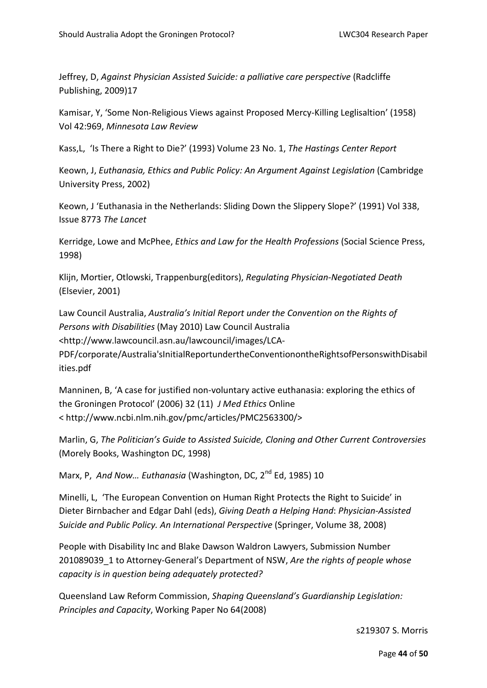Jeffrey, D, *Against Physician Assisted Suicide: a palliative care perspective* (Radcliffe Publishing, 2009)17

Kamisar, Y, 'Some Non-Religious Views against Proposed Mercy-Killing Leglisaltion' (1958) Vol 42:969, *Minnesota Law Review*

Kass,L, 'Is There a Right to Die?' (1993) Volume 23 No. 1, *The Hastings Center Report*

Keown, J, *Euthanasia, Ethics and Public Policy: An Argument Against Legislation* (Cambridge University Press, 2002)

Keown, J 'Euthanasia in the Netherlands: Sliding Down the Slippery Slope?' (1991) Vol 338, Issue 8773 *The Lancet*

Kerridge, Lowe and McPhee, *Ethics and Law for the Health Professions* (Social Science Press, 1998)

Klijn, Mortier, Otlowski, Trappenburg(editors), *Regulating Physician-Negotiated Death*  (Elsevier, 2001)

Law Council Australia, *Australia's Initial Report under the Convention on the Rights of Persons with Disabilities* (May 2010) Law Council Australia [<http://www.lawcouncil.asn.au/lawcouncil/images/LCA-](http://www.lawcouncil.asn.au/lawcouncil/images/LCA-PDF/corporate/Australia)

[PDF/corporate/Australia'sInitialReportundertheConventionontheRightsofPersonswithDisabil](http://www.lawcouncil.asn.au/lawcouncil/images/LCA-PDF/corporate/Australia) [ities.pdf](http://www.lawcouncil.asn.au/lawcouncil/images/LCA-PDF/corporate/Australia)

Manninen, B, 'A case for justified non-voluntary active euthanasia: exploring the ethics of the Groningen Protocol' (2006) 32 (11) *J Med Ethics* Online < [http://www.ncbi.nlm.nih.gov/pmc/articles/PMC2563300/>](http://www.ncbi.nlm.nih.gov/pmc/articles/PMC2563300/)

Marlin, G, *The Politician's Guide to Assisted Suicide, Cloning and Other Current Controversies* (Morely Books, Washington DC, 1998)

Marx, P, *And Now... Euthanasia* (Washington, DC, 2<sup>nd</sup> Ed. 1985) 10

Minelli, L, 'The European Convention on Human Right Protects the Right to Suicide' in Dieter Birnbacher and Edgar Dahl (eds), *Giving Death a Helping Hand*: *Physician-Assisted Suicide and Public Policy. An International Perspective* (Springer, Volume 38, 2008)

People with Disability Inc and Blake Dawson Waldron Lawyers, Submission Number 201089039\_1 to Attorney-General's Department of NSW, *Are the rights of people whose capacity is in question being adequately protected?*

Queensland Law Reform Commission, *Shaping Queensland's Guardianship Legislation: Principles and Capacity*, Working Paper No 64(2008)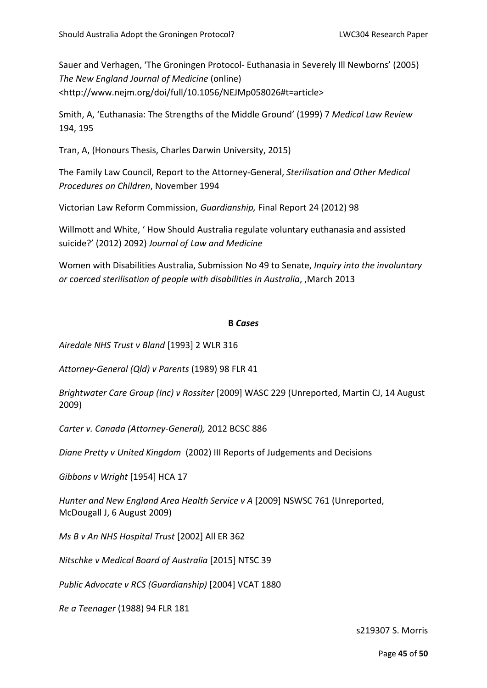Sauer and Verhagen, 'The Groningen Protocol- Euthanasia in Severely Ill Newborns' (2005) *The New England Journal of Medicine* (online) [<http://www.nejm.org/doi/full/10.1056/NEJMp058026#t=article>](http://www.nejm.org/doi/full/10.1056/NEJMp058026#t=article)

Smith, A, 'Euthanasia: The Strengths of the Middle Ground' (1999) 7 *Medical Law Review* 194, 195

Tran, A, (Honours Thesis, Charles Darwin University, 2015)

The Family Law Council, Report to the Attorney-General, *Sterilisation and Other Medical Procedures on Children*, November 1994

Victorian Law Reform Commission, *Guardianship,* Final Report 24 (2012) 98

Willmott and White, ' How Should Australia regulate voluntary euthanasia and assisted suicide?' (2012) 2092) *Journal of Law and Medicine*

Women with Disabilities Australia, Submission No 49 to Senate, *Inquiry into the involuntary or coerced sterilisation of people with disabilities in Australia*, ,March 2013

#### **B** *Cases*

*Airedale NHS Trust v Bland* [1993] 2 WLR 316

*Attorney-General (Qld) v Parents* (1989) 98 FLR 41

*Brightwater Care Group (Inc) v Rossiter* [2009] WASC 229 (Unreported, Martin CJ, 14 August 2009)

*Carter v. Canada (Attorney-General),* 2012 BCSC 886

*Diane Pretty v United Kingdom* (2002) III Reports of Judgements and Decisions

*Gibbons v Wright* [1954] HCA 17

*Hunter and New England Area Health Service v A* [2009] NSWSC 761 (Unreported, McDougall J, 6 August 2009)

*Ms B v An NHS Hospital Trust* [2002] All ER 362

*Nitschke v Medical Board of Australia* [2015] NTSC 39

*Public Advocate v RCS (Guardianship)* [2004] VCAT 1880

*Re a Teenager* (1988) 94 FLR 181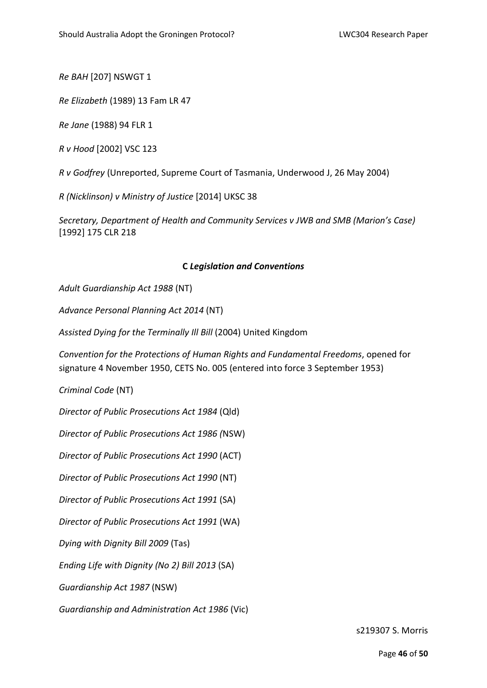*Re BAH* [207] NSWGT 1

*Re Elizabeth* (1989) 13 Fam LR 47

*Re Jane* (1988) 94 FLR 1

*R v Hood* [2002] VSC 123

*R v Godfrey* (Unreported, Supreme Court of Tasmania, Underwood J, 26 May 2004)

*R (Nicklinson) v Ministry of Justice* [2014] UKSC 38

*Secretary, Department of Health and Community Services v JWB and SMB (Marion's Case)* [1992] 175 CLR 218

#### **C** *Legislation and Conventions*

*Adult Guardianship Act 1988* (NT)

*Advance Personal Planning Act 2014* (NT)

*Assisted Dying for the Terminally Ill Bill* (2004) United Kingdom

*Convention for the Protections of Human Rights and Fundamental Freedoms*, opened for signature 4 November 1950, CETS No. 005 (entered into force 3 September 1953)

*Criminal Code* (NT)

*Director of Public Prosecutions Act 1984* (Qld)

*Director of Public Prosecutions Act 1986 (*NSW)

*Director of Public Prosecutions Act 1990* (ACT)

*Director of Public Prosecutions Act 1990* (NT)

*Director of Public Prosecutions Act 1991* (SA)

*Director of Public Prosecutions Act 1991* (WA)

*Dying with Dignity Bill 2009* (Tas)

*Ending Life with Dignity (No 2) Bill 2013* (SA)

*Guardianship Act 1987* (NSW)

*Guardianship and Administration Act 1986* (Vic)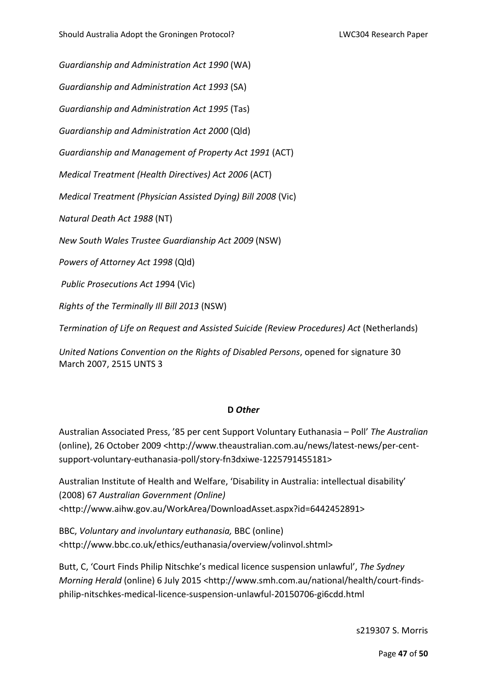*Guardianship and Administration Act 1990* (WA)

*Guardianship and Administration Act 1993* (SA)

*Guardianship and Administration Act 1995* (Tas)

*Guardianship and Administration Act 2000* (Qld)

*Guardianship and Management of Property Act 1991* (ACT)

*Medical Treatment (Health Directives) Act 2006* (ACT)

*Medical Treatment (Physician Assisted Dying) Bill 2008* (Vic)

*Natural Death Act 1988* (NT)

*New South Wales Trustee Guardianship Act 2009* (NSW)

*Powers of Attorney Act 1998* (Qld)

*Public Prosecutions Act 19*94 (Vic)

*Rights of the Terminally Ill Bill 2013* (NSW)

*Termination of Life on Request and Assisted Suicide (Review Procedures) Act* (Netherlands)

*United Nations Convention on the Rights of Disabled Persons*, opened for signature 30 March 2007, 2515 UNTS 3

#### **D** *Other*

Australian Associated Press, '85 per cent Support Voluntary Euthanasia – Poll' *The Australian* (online), 26 October 2009 [<http://www.theaustralian.com.au/news/latest-news/per-cent](http://www.theaustralian.com.au/news/latest-news/per-cent-support-voluntary-euthanasia-poll/story-fn3dxiwe-1225791455181)[support-voluntary-euthanasia-poll/story-fn3dxiwe-1225791455181>](http://www.theaustralian.com.au/news/latest-news/per-cent-support-voluntary-euthanasia-poll/story-fn3dxiwe-1225791455181)

Australian Institute of Health and Welfare, 'Disability in Australia: intellectual disability' (2008) 67 *Australian Government (Online)*  [<http://www.aihw.gov.au/WorkArea/DownloadAsset.aspx?id=6442452891>](http://www.aihw.gov.au/WorkArea/DownloadAsset.aspx?id=6442452891)

BBC, *Voluntary and involuntary euthanasia,* BBC (online) <http://www.bbc.co.uk/ethics/euthanasia/overview/volinvol.shtml>

Butt, C, 'Court Finds Philip Nitschke's medical licence suspension unlawful', *The Sydney Morning Herald* (online) 6 July 2015 [<http://www.smh.com.au/national/health/court-finds](http://www.smh.com.au/national/health/court-finds-philip-nitschkes-medical-licence-suspension-unlawful-20150706-gi6cdd.html)[philip-nitschkes-medical-licence-suspension-unlawful-20150706-gi6cdd.html](http://www.smh.com.au/national/health/court-finds-philip-nitschkes-medical-licence-suspension-unlawful-20150706-gi6cdd.html)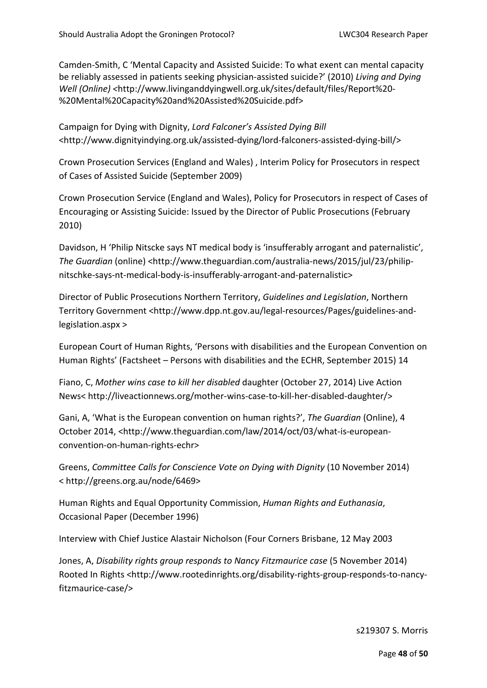Camden-Smith, C 'Mental Capacity and Assisted Suicide: To what exent can mental capacity be reliably assessed in patients seeking physician-assisted suicide?' (2010) *Living and Dying Well (Online) <*http://www.livinganddyingwell.org.uk/sites/default/files/Report%20- %20Mental%20Capacity%20and%20Assisted%20Suicide.pdf>

Campaign for Dying with Dignity, *Lord Falconer's Assisted Dying Bill* <http://www.dignityindying.org.uk/assisted-dying/lord-falconers-assisted-dying-bill/>

Crown Prosecution Services (England and Wales) , Interim Policy for Prosecutors in respect of Cases of Assisted Suicide (September 2009)

Crown Prosecution Service (England and Wales), Policy for Prosecutors in respect of Cases of Encouraging or Assisting Suicide: Issued by the Director of Public Prosecutions (February 2010)

Davidson, H 'Philip Nitscke says NT medical body is 'insufferably arrogant and paternalistic', *The Guardian* (online) [<http://www.theguardian.com/australia-news/2015/jul/23/philip](http://www.theguardian.com/australia-news/2015/jul/23/philip-nitschke-says-nt-medical-body-is-insufferably-arrogant-and-paternalistic)[nitschke-says-nt-medical-body-is-insufferably-arrogant-and-paternalistic>](http://www.theguardian.com/australia-news/2015/jul/23/philip-nitschke-says-nt-medical-body-is-insufferably-arrogant-and-paternalistic)

Director of Public Prosecutions Northern Territory, *Guidelines and Legislation*, Northern Territory Government [<http://www.dpp.nt.gov.au/legal-resources/Pages/guidelines-and](http://www.dpp.nt.gov.au/legal-resources/Pages/guidelines-and-legislation.aspx)[legislation.aspx](http://www.dpp.nt.gov.au/legal-resources/Pages/guidelines-and-legislation.aspx) >

European Court of Human Rights, 'Persons with disabilities and the European Convention on Human Rights' (Factsheet – Persons with disabilities and the ECHR, September 2015) 14

Fiano, C, *Mother wins case to kill her disabled* daughter (October 27, 2014) Live Action News< http://liveactionnews.org/mother-wins-case-to-kill-her-disabled-daughter/>

Gani, A, 'What is the European convention on human rights?', *The Guardian* (Online), 4 October 2014, [<http://www.theguardian.com/law/2014/oct/03/what-is-european](http://www.theguardian.com/law/2014/oct/03/what-is-european-convention-on-human-rights-echr)[convention-on-human-rights-echr>](http://www.theguardian.com/law/2014/oct/03/what-is-european-convention-on-human-rights-echr)

Greens, *Committee Calls for Conscience Vote on Dying with Dignity* (10 November 2014) < [http://greens.org.au/node/6469>](http://greens.org.au/node/6469)

Human Rights and Equal Opportunity Commission, *Human Rights and Euthanasia*, Occasional Paper (December 1996)

Interview with Chief Justice Alastair Nicholson (Four Corners Brisbane, 12 May 2003

Jones, A, *Disability rights group responds to Nancy Fitzmaurice case* (5 November 2014) Rooted In Rights [<http://www.rootedinrights.org/disability-rights-group-responds-to-nancy](http://www.rootedinrights.org/disability-rights-group-responds-to-nancy-fitzmaurice-case/)[fitzmaurice-case/>](http://www.rootedinrights.org/disability-rights-group-responds-to-nancy-fitzmaurice-case/)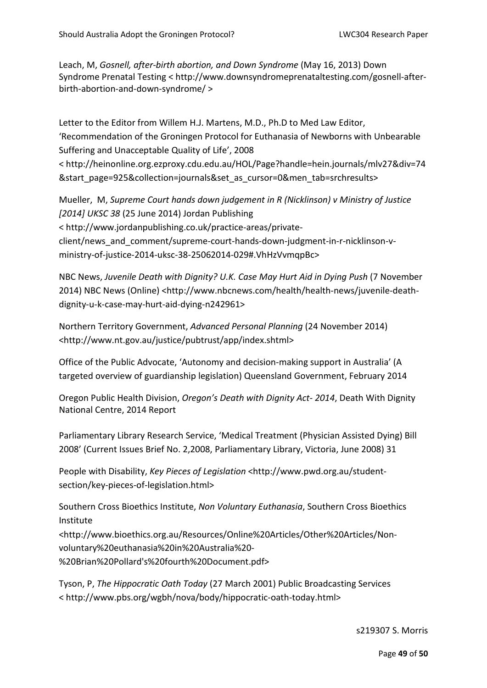Leach, M, *Gosnell, after-birth abortion, and Down Syndrome* (May 16, 2013) Down Syndrome Prenatal Testing < http://www.downsyndromeprenataltesting.com/gosnell-afterbirth-abortion-and-down-syndrome/ >

Letter to the Editor from Willem H.J. Martens, M.D., Ph.D to Med Law Editor, 'Recommendation of the Groningen Protocol for Euthanasia of Newborns with Unbearable Suffering and Unacceptable Quality of Life', 2008 < [http://heinonline.org.ezproxy.cdu.edu.au/HOL/Page?handle=hein.journals/mlv27&div=74](http://heinonline.org.ezproxy.cdu.edu.au/HOL/Page?handle=hein.journals/mlv27&div=74&start_page=925&collection=journals&set_as_cursor=0&men_tab=srchresults) [&start\\_page=925&collection=journals&set\\_as\\_cursor=0&men\\_tab=srchresults>](http://heinonline.org.ezproxy.cdu.edu.au/HOL/Page?handle=hein.journals/mlv27&div=74&start_page=925&collection=journals&set_as_cursor=0&men_tab=srchresults)

Mueller, M, *Supreme Court hands down judgement in R (Nicklinson) v Ministry of Justice [2014] UKSC 38* (25 June 2014) Jordan Publishing < [http://www.jordanpublishing.co.uk/practice-areas/private](http://www.jordanpublishing.co.uk/practice-areas/private-client/news_and_comment/supreme-court-hands-down-judgment-in-r-nicklinson-v-ministry-of-justice-2014-uksc-38-25062014-029#.VhHzVvmqpBc)[client/news\\_and\\_comment/supreme-court-hands-down-judgment-in-r-nicklinson-v](http://www.jordanpublishing.co.uk/practice-areas/private-client/news_and_comment/supreme-court-hands-down-judgment-in-r-nicklinson-v-ministry-of-justice-2014-uksc-38-25062014-029#.VhHzVvmqpBc)[ministry-of-justice-2014-uksc-38-25062014-029#.VhHzVvmqpBc>](http://www.jordanpublishing.co.uk/practice-areas/private-client/news_and_comment/supreme-court-hands-down-judgment-in-r-nicklinson-v-ministry-of-justice-2014-uksc-38-25062014-029#.VhHzVvmqpBc)

NBC News, *Juvenile Death with Dignity? U.K. Case May Hurt Aid in Dying Push* (7 November 2014) NBC News (Online) [<http://www.nbcnews.com/health/health-news/juvenile-death](http://www.nbcnews.com/health/health-news/juvenile-death-dignity-u-k-case-may-hurt-aid-dying-n242961)[dignity-u-k-case-may-hurt-aid-dying-n242961>](http://www.nbcnews.com/health/health-news/juvenile-death-dignity-u-k-case-may-hurt-aid-dying-n242961)

Northern Territory Government, *Advanced Personal Planning* (24 November 2014) <http://www.nt.gov.au/justice/pubtrust/app/index.shtml>

Office of the Public Advocate, 'Autonomy and decision-making support in Australia' (A targeted overview of guardianship legislation) Queensland Government, February 2014

Oregon Public Health Division, *Oregon's Death with Dignity Act- 2014*, Death With Dignity National Centre, 2014 Report

Parliamentary Library Research Service, 'Medical Treatment (Physician Assisted Dying) Bill 2008' (Current Issues Brief No. 2,2008, Parliamentary Library, Victoria, June 2008) 31

People with Disability, *Key Pieces of Legislation* [<http://www.pwd.org.au/student](http://www.pwd.org.au/student-section/key-pieces-of-legislation.html)[section/key-pieces-of-legislation.html>](http://www.pwd.org.au/student-section/key-pieces-of-legislation.html)

Southern Cross Bioethics Institute, *Non Voluntary Euthanasia*, Southern Cross Bioethics Institute

<http://www.bioethics.org.au/Resources/Online%20Articles/Other%20Articles/Nonvoluntary%20euthanasia%20in%20Australia%20-

%20Brian%20Pollard's%20fourth%20Document.pdf>

Tyson, P, *The Hippocratic Oath Today* (27 March 2001) Public Broadcasting Services < [http://www.pbs.org/wgbh/nova/body/hippocratic-oath-today.html>](http://www.pbs.org/wgbh/nova/body/hippocratic-oath-today.html)